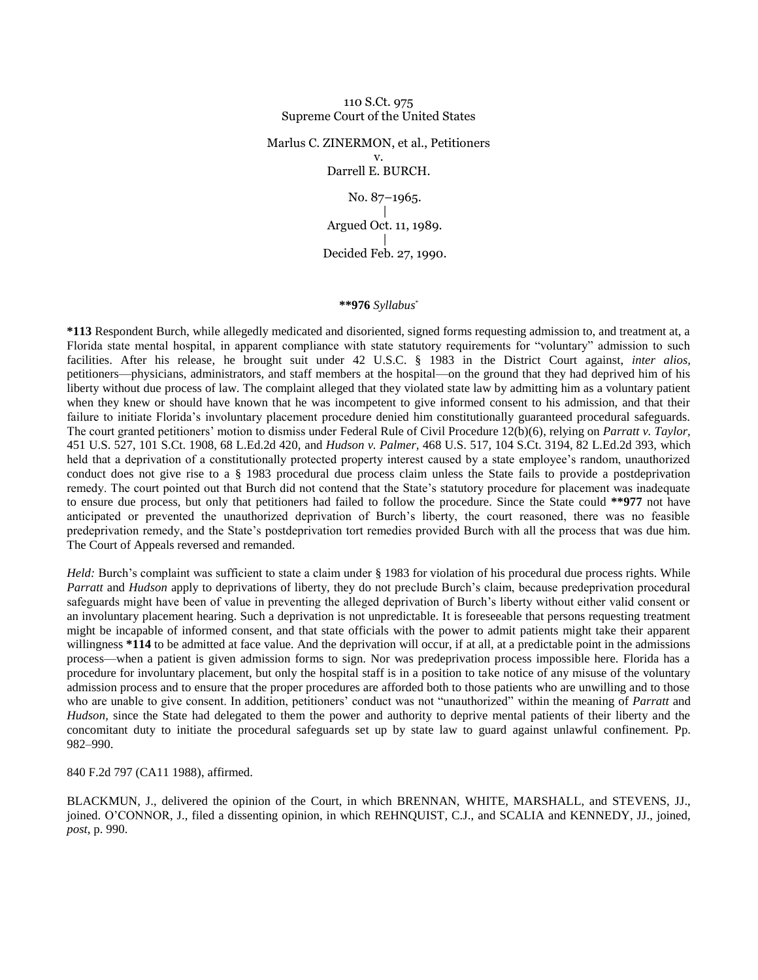#### 110 S.Ct. 975 Supreme Court of the United States

# Marlus C. ZINERMON, et al., Petitioners v.

Darrell E. BURCH.

No. 87–1965. | Argued Oct. 11, 1989. | Decided Feb. 27, 1990.

#### **\*\*976** *Syllabus*\*

**\*113** Respondent Burch, while allegedly medicated and disoriented, signed forms requesting admission to, and treatment at, a Florida state mental hospital, in apparent compliance with state statutory requirements for "voluntary" admission to such facilities. After his release, he brought suit under 42 U.S.C. § 1983 in the District Court against, *inter alios,* petitioners—physicians, administrators, and staff members at the hospital—on the ground that they had deprived him of his liberty without due process of law. The complaint alleged that they violated state law by admitting him as a voluntary patient when they knew or should have known that he was incompetent to give informed consent to his admission, and that their failure to initiate Florida's involuntary placement procedure denied him constitutionally guaranteed procedural safeguards. The court granted petitioners' motion to dismiss under Federal Rule of Civil Procedure 12(b)(6), relying on *Parratt v. Taylor,* 451 U.S. 527, 101 S.Ct. 1908, 68 L.Ed.2d 420, and *Hudson v. Palmer,* 468 U.S. 517, 104 S.Ct. 3194, 82 L.Ed.2d 393, which held that a deprivation of a constitutionally protected property interest caused by a state employee's random, unauthorized conduct does not give rise to a § 1983 procedural due process claim unless the State fails to provide a postdeprivation remedy. The court pointed out that Burch did not contend that the State's statutory procedure for placement was inadequate to ensure due process, but only that petitioners had failed to follow the procedure. Since the State could **\*\*977** not have anticipated or prevented the unauthorized deprivation of Burch's liberty, the court reasoned, there was no feasible predeprivation remedy, and the State's postdeprivation tort remedies provided Burch with all the process that was due him. The Court of Appeals reversed and remanded.

*Held:* Burch's complaint was sufficient to state a claim under § 1983 for violation of his procedural due process rights. While *Parratt* and *Hudson* apply to deprivations of liberty, they do not preclude Burch's claim, because predeprivation procedural safeguards might have been of value in preventing the alleged deprivation of Burch's liberty without either valid consent or an involuntary placement hearing. Such a deprivation is not unpredictable. It is foreseeable that persons requesting treatment might be incapable of informed consent, and that state officials with the power to admit patients might take their apparent willingness \*114 to be admitted at face value. And the deprivation will occur, if at all, at a predictable point in the admissions process—when a patient is given admission forms to sign. Nor was predeprivation process impossible here. Florida has a procedure for involuntary placement, but only the hospital staff is in a position to take notice of any misuse of the voluntary admission process and to ensure that the proper procedures are afforded both to those patients who are unwilling and to those who are unable to give consent. In addition, petitioners' conduct was not "unauthorized" within the meaning of *Parratt* and *Hudson,* since the State had delegated to them the power and authority to deprive mental patients of their liberty and the concomitant duty to initiate the procedural safeguards set up by state law to guard against unlawful confinement. Pp. 982–990.

# 840 F.2d 797 (CA11 1988), affirmed.

BLACKMUN, J., delivered the opinion of the Court, in which BRENNAN, WHITE, MARSHALL, and STEVENS, JJ., joined. O'CONNOR, J., filed a dissenting opinion, in which REHNQUIST, C.J., and SCALIA and KENNEDY, JJ., joined, *post*, p. 990.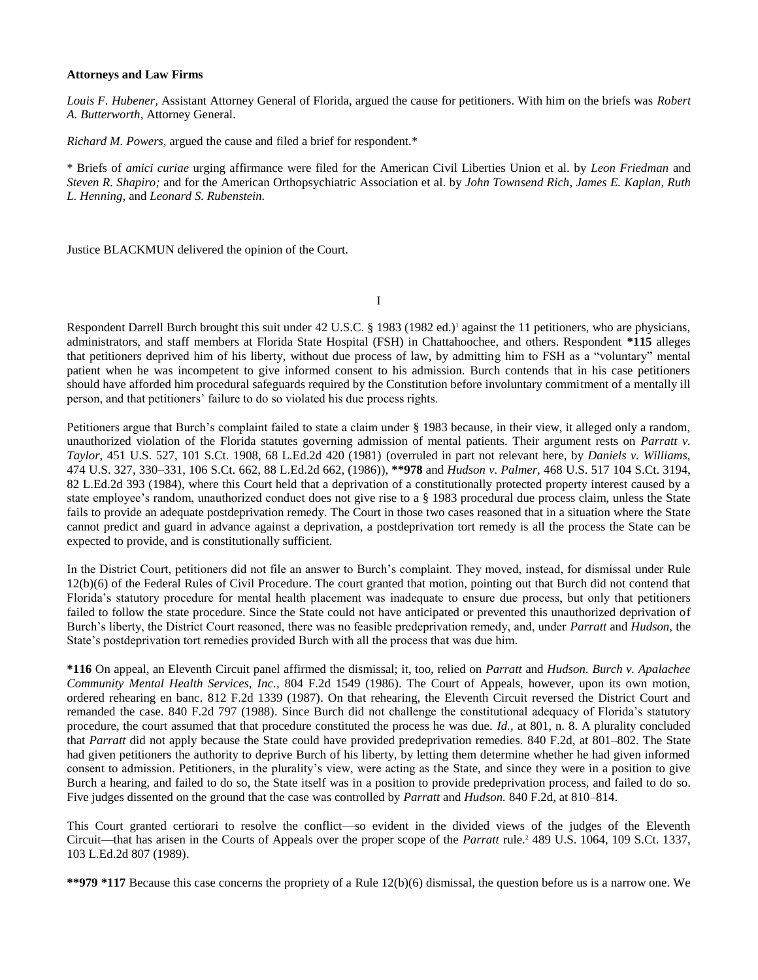#### **Attorneys and Law Firms**

*Louis F. Hubener,* Assistant Attorney General of Florida, argued the cause for petitioners. With him on the briefs was *Robert A. Butterworth,* Attorney General.

*Richard M. Powers,* argued the cause and filed a brief for respondent.\*

\* Briefs of *amici curiae* urging affirmance were filed for the American Civil Liberties Union et al. by *Leon Friedman* and *Steven R. Shapiro;* and for the American Orthopsychiatric Association et al. by *John Townsend Rich, James E. Kaplan, Ruth L. Henning,* and *Leonard S. Rubenstein.*

Justice BLACKMUN delivered the opinion of the Court.

I

Respondent Darrell Burch brought this suit under 42 U.S.C. § 1983 (1982 ed.)<sup>1</sup> against the 11 petitioners, who are physicians, administrators, and staff members at Florida State Hospital (FSH) in Chattahoochee, and others. Respondent **\*115** alleges that petitioners deprived him of his liberty, without due process of law, by admitting him to FSH as a "voluntary" mental patient when he was incompetent to give informed consent to his admission. Burch contends that in his case petitioners should have afforded him procedural safeguards required by the Constitution before involuntary commitment of a mentally ill person, and that petitioners' failure to do so violated his due process rights.

Petitioners argue that Burch's complaint failed to state a claim under § 1983 because, in their view, it alleged only a random, unauthorized violation of the Florida statutes governing admission of mental patients. Their argument rests on *Parratt v. Taylor,* 451 U.S. 527, 101 S.Ct. 1908, 68 L.Ed.2d 420 (1981) (overruled in part not relevant here, by *Daniels v. Williams,* 474 U.S. 327, 330–331, 106 S.Ct. 662, 88 L.Ed.2d 662, (1986)), **\*\*978** and *Hudson v. Palmer,* 468 U.S. 517 104 S.Ct. 3194, 82 L.Ed.2d 393 (1984), where this Court held that a deprivation of a constitutionally protected property interest caused by a state employee's random, unauthorized conduct does not give rise to a § 1983 procedural due process claim, unless the State fails to provide an adequate postdeprivation remedy. The Court in those two cases reasoned that in a situation where the State cannot predict and guard in advance against a deprivation, a postdeprivation tort remedy is all the process the State can be expected to provide, and is constitutionally sufficient.

In the District Court, petitioners did not file an answer to Burch's complaint. They moved, instead, for dismissal under Rule 12(b)(6) of the Federal Rules of Civil Procedure. The court granted that motion, pointing out that Burch did not contend that Florida's statutory procedure for mental health placement was inadequate to ensure due process, but only that petitioners failed to follow the state procedure. Since the State could not have anticipated or prevented this unauthorized deprivation of Burch's liberty, the District Court reasoned, there was no feasible predeprivation remedy, and, under *Parratt* and *Hudson,* the State's postdeprivation tort remedies provided Burch with all the process that was due him.

**\*116** On appeal, an Eleventh Circuit panel affirmed the dismissal; it, too, relied on *Parratt* and *Hudson. Burch v. Apalachee Community Mental Health Services, Inc.,* 804 F.2d 1549 (1986). The Court of Appeals, however, upon its own motion, ordered rehearing en banc. 812 F.2d 1339 (1987). On that rehearing, the Eleventh Circuit reversed the District Court and remanded the case. 840 F.2d 797 (1988). Since Burch did not challenge the constitutional adequacy of Florida's statutory procedure, the court assumed that that procedure constituted the process he was due. *Id.,* at 801, n. 8. A plurality concluded that *Parratt* did not apply because the State could have provided predeprivation remedies. 840 F.2d, at 801–802. The State had given petitioners the authority to deprive Burch of his liberty, by letting them determine whether he had given informed consent to admission. Petitioners, in the plurality's view, were acting as the State, and since they were in a position to give Burch a hearing, and failed to do so, the State itself was in a position to provide predeprivation process, and failed to do so. Five judges dissented on the ground that the case was controlled by *Parratt* and *Hudson.* 840 F.2d, at 810–814.

This Court granted certiorari to resolve the conflict—so evident in the divided views of the judges of the Eleventh Circuit—that has arisen in the Courts of Appeals over the proper scope of the *Parratt* rule.<sup>2</sup> 489 U.S. 1064, 109 S.Ct. 1337, 103 L.Ed.2d 807 (1989).

**\*\*979 \*117** Because this case concerns the propriety of a Rule 12(b)(6) dismissal, the question before us is a narrow one. We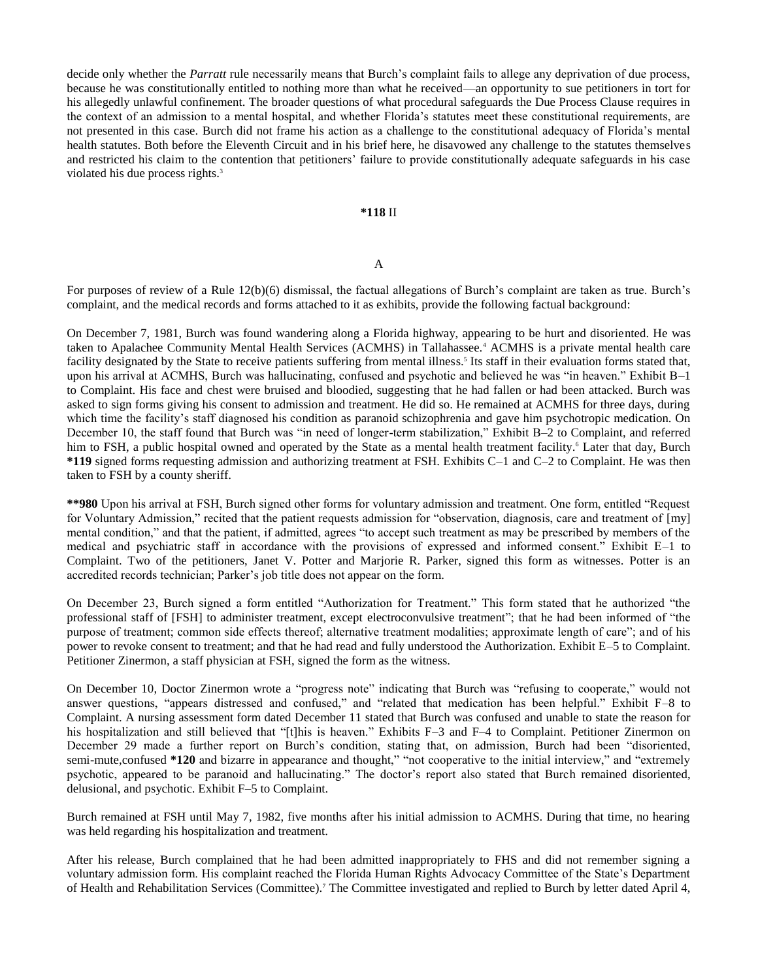decide only whether the *Parratt* rule necessarily means that Burch's complaint fails to allege any deprivation of due process, because he was constitutionally entitled to nothing more than what he received—an opportunity to sue petitioners in tort for his allegedly unlawful confinement. The broader questions of what procedural safeguards the Due Process Clause requires in the context of an admission to a mental hospital, and whether Florida's statutes meet these constitutional requirements, are not presented in this case. Burch did not frame his action as a challenge to the constitutional adequacy of Florida's mental health statutes. Both before the Eleventh Circuit and in his brief here, he disavowed any challenge to the statutes themselves and restricted his claim to the contention that petitioners' failure to provide constitutionally adequate safeguards in his case violated his due process rights.<sup>3</sup>

#### **\*118** II

#### A

For purposes of review of a Rule 12(b)(6) dismissal, the factual allegations of Burch's complaint are taken as true. Burch's complaint, and the medical records and forms attached to it as exhibits, provide the following factual background:

On December 7, 1981, Burch was found wandering along a Florida highway, appearing to be hurt and disoriented. He was taken to Apalachee Community Mental Health Services (ACMHS) in Tallahassee.<sup>4</sup> ACMHS is a private mental health care facility designated by the State to receive patients suffering from mental illness.<sup>5</sup> Its staff in their evaluation forms stated that, upon his arrival at ACMHS, Burch was hallucinating, confused and psychotic and believed he was "in heaven." Exhibit B–1 to Complaint. His face and chest were bruised and bloodied, suggesting that he had fallen or had been attacked. Burch was asked to sign forms giving his consent to admission and treatment. He did so. He remained at ACMHS for three days, during which time the facility's staff diagnosed his condition as paranoid schizophrenia and gave him psychotropic medication. On December 10, the staff found that Burch was "in need of longer-term stabilization," Exhibit B–2 to Complaint, and referred him to FSH, a public hospital owned and operated by the State as a mental health treatment facility.<sup>6</sup> Later that day, Burch **\*119** signed forms requesting admission and authorizing treatment at FSH. Exhibits C–1 and C–2 to Complaint. He was then taken to FSH by a county sheriff.

**\*\*980** Upon his arrival at FSH, Burch signed other forms for voluntary admission and treatment. One form, entitled "Request for Voluntary Admission," recited that the patient requests admission for "observation, diagnosis, care and treatment of [my] mental condition," and that the patient, if admitted, agrees "to accept such treatment as may be prescribed by members of the medical and psychiatric staff in accordance with the provisions of expressed and informed consent." Exhibit E–1 to Complaint. Two of the petitioners, Janet V. Potter and Marjorie R. Parker, signed this form as witnesses. Potter is an accredited records technician; Parker's job title does not appear on the form.

On December 23, Burch signed a form entitled "Authorization for Treatment." This form stated that he authorized "the professional staff of [FSH] to administer treatment, except electroconvulsive treatment"; that he had been informed of "the purpose of treatment; common side effects thereof; alternative treatment modalities; approximate length of care"; and of his power to revoke consent to treatment; and that he had read and fully understood the Authorization. Exhibit E–5 to Complaint. Petitioner Zinermon, a staff physician at FSH, signed the form as the witness.

On December 10, Doctor Zinermon wrote a "progress note" indicating that Burch was "refusing to cooperate," would not answer questions, "appears distressed and confused," and "related that medication has been helpful." Exhibit F–8 to Complaint. A nursing assessment form dated December 11 stated that Burch was confused and unable to state the reason for his hospitalization and still believed that "[t]his is heaven." Exhibits F-3 and F-4 to Complaint. Petitioner Zinermon on December 29 made a further report on Burch's condition, stating that, on admission, Burch had been "disoriented, semi-mute,confused \*120 and bizarre in appearance and thought," "not cooperative to the initial interview," and "extremely psychotic, appeared to be paranoid and hallucinating." The doctor's report also stated that Burch remained disoriented, delusional, and psychotic. Exhibit F–5 to Complaint.

Burch remained at FSH until May 7, 1982, five months after his initial admission to ACMHS. During that time, no hearing was held regarding his hospitalization and treatment.

After his release, Burch complained that he had been admitted inappropriately to FHS and did not remember signing a voluntary admission form. His complaint reached the Florida Human Rights Advocacy Committee of the State's Department of Health and Rehabilitation Services (Committee).<sup>7</sup> The Committee investigated and replied to Burch by letter dated April 4,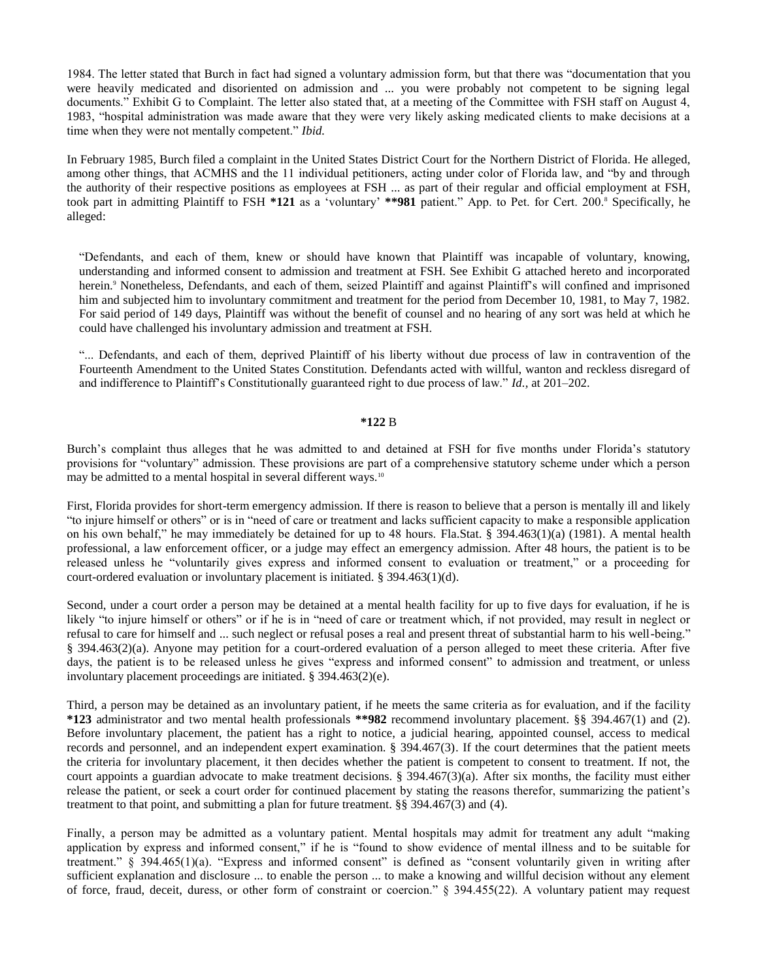1984. The letter stated that Burch in fact had signed a voluntary admission form, but that there was "documentation that you were heavily medicated and disoriented on admission and ... you were probably not competent to be signing legal documents." Exhibit G to Complaint. The letter also stated that, at a meeting of the Committee with FSH staff on August 4, 1983, "hospital administration was made aware that they were very likely asking medicated clients to make decisions at a time when they were not mentally competent." *Ibid.*

In February 1985, Burch filed a complaint in the United States District Court for the Northern District of Florida. He alleged, among other things, that ACMHS and the 11 individual petitioners, acting under color of Florida law, and "by and through the authority of their respective positions as employees at FSH ... as part of their regular and official employment at FSH, took part in admitting Plaintiff to FSH **\*121** as a 'voluntary' **\*\*981** patient." App. to Pet. for Cert. 200.<sup>8</sup> Specifically, he alleged:

"Defendants, and each of them, knew or should have known that Plaintiff was incapable of voluntary, knowing, understanding and informed consent to admission and treatment at FSH. See Exhibit G attached hereto and incorporated herein.<sup>9</sup> Nonetheless, Defendants, and each of them, seized Plaintiff and against Plaintiff's will confined and imprisoned him and subjected him to involuntary commitment and treatment for the period from December 10, 1981, to May 7, 1982. For said period of 149 days, Plaintiff was without the benefit of counsel and no hearing of any sort was held at which he could have challenged his involuntary admission and treatment at FSH.

"... Defendants, and each of them, deprived Plaintiff of his liberty without due process of law in contravention of the Fourteenth Amendment to the United States Constitution. Defendants acted with willful, wanton and reckless disregard of and indifference to Plaintiff's Constitutionally guaranteed right to due process of law." *Id.,* at 201–202.

#### **\*122** B

Burch's complaint thus alleges that he was admitted to and detained at FSH for five months under Florida's statutory provisions for "voluntary" admission. These provisions are part of a comprehensive statutory scheme under which a person may be admitted to a mental hospital in several different ways.<sup>10</sup>

First, Florida provides for short-term emergency admission. If there is reason to believe that a person is mentally ill and likely "to injure himself or others" or is in "need of care or treatment and lacks sufficient capacity to make a responsible application on his own behalf," he may immediately be detained for up to 48 hours. Fla.Stat. § 394.463(1)(a) (1981). A mental health professional, a law enforcement officer, or a judge may effect an emergency admission. After 48 hours, the patient is to be released unless he "voluntarily gives express and informed consent to evaluation or treatment," or a proceeding for court-ordered evaluation or involuntary placement is initiated. § 394.463(1)(d).

Second, under a court order a person may be detained at a mental health facility for up to five days for evaluation, if he is likely "to injure himself or others" or if he is in "need of care or treatment which, if not provided, may result in neglect or refusal to care for himself and ... such neglect or refusal poses a real and present threat of substantial harm to his well-being." § 394.463(2)(a). Anyone may petition for a court-ordered evaluation of a person alleged to meet these criteria. After five days, the patient is to be released unless he gives "express and informed consent" to admission and treatment, or unless involuntary placement proceedings are initiated. § 394.463(2)(e).

Third, a person may be detained as an involuntary patient, if he meets the same criteria as for evaluation, and if the facility **\*123** administrator and two mental health professionals **\*\*982** recommend involuntary placement. §§ 394.467(1) and (2). Before involuntary placement, the patient has a right to notice, a judicial hearing, appointed counsel, access to medical records and personnel, and an independent expert examination. § 394.467(3). If the court determines that the patient meets the criteria for involuntary placement, it then decides whether the patient is competent to consent to treatment. If not, the court appoints a guardian advocate to make treatment decisions. § 394.467(3)(a). After six months, the facility must either release the patient, or seek a court order for continued placement by stating the reasons therefor, summarizing the patient's treatment to that point, and submitting a plan for future treatment. §§ 394.467(3) and (4).

Finally, a person may be admitted as a voluntary patient. Mental hospitals may admit for treatment any adult "making application by express and informed consent," if he is "found to show evidence of mental illness and to be suitable for treatment." § 394.465(1)(a). "Express and informed consent" is defined as "consent voluntarily given in writing after sufficient explanation and disclosure ... to enable the person ... to make a knowing and willful decision without any element of force, fraud, deceit, duress, or other form of constraint or coercion." § 394.455(22). A voluntary patient may request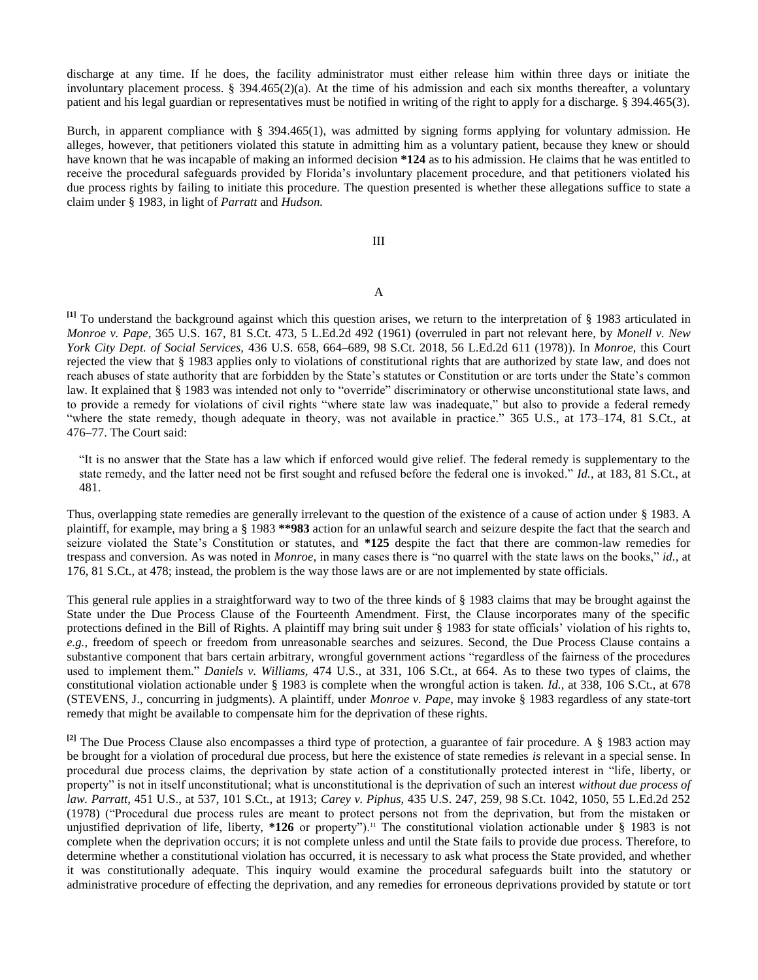discharge at any time. If he does, the facility administrator must either release him within three days or initiate the involuntary placement process.  $\S$  394.465(2)(a). At the time of his admission and each six months thereafter, a voluntary patient and his legal guardian or representatives must be notified in writing of the right to apply for a discharge. § 394.465(3).

Burch, in apparent compliance with  $\S$  394.465(1), was admitted by signing forms applying for voluntary admission. He alleges, however, that petitioners violated this statute in admitting him as a voluntary patient, because they knew or should have known that he was incapable of making an informed decision **\*124** as to his admission. He claims that he was entitled to receive the procedural safeguards provided by Florida's involuntary placement procedure, and that petitioners violated his due process rights by failing to initiate this procedure. The question presented is whether these allegations suffice to state a claim under § 1983, in light of *Parratt* and *Hudson.*

# III

# A

**[1]** To understand the background against which this question arises, we return to the interpretation of § 1983 articulated in *Monroe v. Pape,* 365 U.S. 167, 81 S.Ct. 473, 5 L.Ed.2d 492 (1961) (overruled in part not relevant here, by *Monell v. New York City Dept. of Social Services,* 436 U.S. 658, 664–689, 98 S.Ct. 2018, 56 L.Ed.2d 611 (1978)). In *Monroe,* this Court rejected the view that § 1983 applies only to violations of constitutional rights that are authorized by state law, and does not reach abuses of state authority that are forbidden by the State's statutes or Constitution or are torts under the State's common law. It explained that § 1983 was intended not only to "override" discriminatory or otherwise unconstitutional state laws, and to provide a remedy for violations of civil rights "where state law was inadequate," but also to provide a federal remedy "where the state remedy, though adequate in theory, was not available in practice." 365 U.S., at 173–174, 81 S.Ct., at 476–77. The Court said:

"It is no answer that the State has a law which if enforced would give relief. The federal remedy is supplementary to the state remedy, and the latter need not be first sought and refused before the federal one is invoked." *Id.,* at 183, 81 S.Ct., at 481.

Thus, overlapping state remedies are generally irrelevant to the question of the existence of a cause of action under § 1983. A plaintiff, for example, may bring a § 1983 **\*\*983** action for an unlawful search and seizure despite the fact that the search and seizure violated the State's Constitution or statutes, and **\*125** despite the fact that there are common-law remedies for trespass and conversion. As was noted in *Monroe,* in many cases there is "no quarrel with the state laws on the books," *id.,* at 176, 81 S.Ct., at 478; instead, the problem is the way those laws are or are not implemented by state officials.

This general rule applies in a straightforward way to two of the three kinds of § 1983 claims that may be brought against the State under the Due Process Clause of the Fourteenth Amendment. First, the Clause incorporates many of the specific protections defined in the Bill of Rights. A plaintiff may bring suit under § 1983 for state officials' violation of his rights to, *e.g.,* freedom of speech or freedom from unreasonable searches and seizures. Second, the Due Process Clause contains a substantive component that bars certain arbitrary, wrongful government actions "regardless of the fairness of the procedures used to implement them." *Daniels v. Williams,* 474 U.S., at 331, 106 S.Ct., at 664. As to these two types of claims, the constitutional violation actionable under § 1983 is complete when the wrongful action is taken. *Id.,* at 338, 106 S.Ct., at 678 (STEVENS, J., concurring in judgments). A plaintiff, under *Monroe v. Pape,* may invoke § 1983 regardless of any state-tort remedy that might be available to compensate him for the deprivation of these rights.

<sup>[2]</sup> The Due Process Clause also encompasses a third type of protection, a guarantee of fair procedure. A § 1983 action may be brought for a violation of procedural due process, but here the existence of state remedies *is* relevant in a special sense. In procedural due process claims, the deprivation by state action of a constitutionally protected interest in "life, liberty, or property" is not in itself unconstitutional; what is unconstitutional is the deprivation of such an interest *without due process of law. Parratt,* 451 U.S., at 537, 101 S.Ct., at 1913; *Carey v. Piphus,* 435 U.S. 247, 259, 98 S.Ct. 1042, 1050, 55 L.Ed.2d 252 (1978) ("Procedural due process rules are meant to protect persons not from the deprivation, but from the mistaken or unjustified deprivation of life, liberty, \*126 or property").<sup>11</sup> The constitutional violation actionable under § 1983 is not complete when the deprivation occurs; it is not complete unless and until the State fails to provide due process. Therefore, to determine whether a constitutional violation has occurred, it is necessary to ask what process the State provided, and whether it was constitutionally adequate. This inquiry would examine the procedural safeguards built into the statutory or administrative procedure of effecting the deprivation, and any remedies for erroneous deprivations provided by statute or tort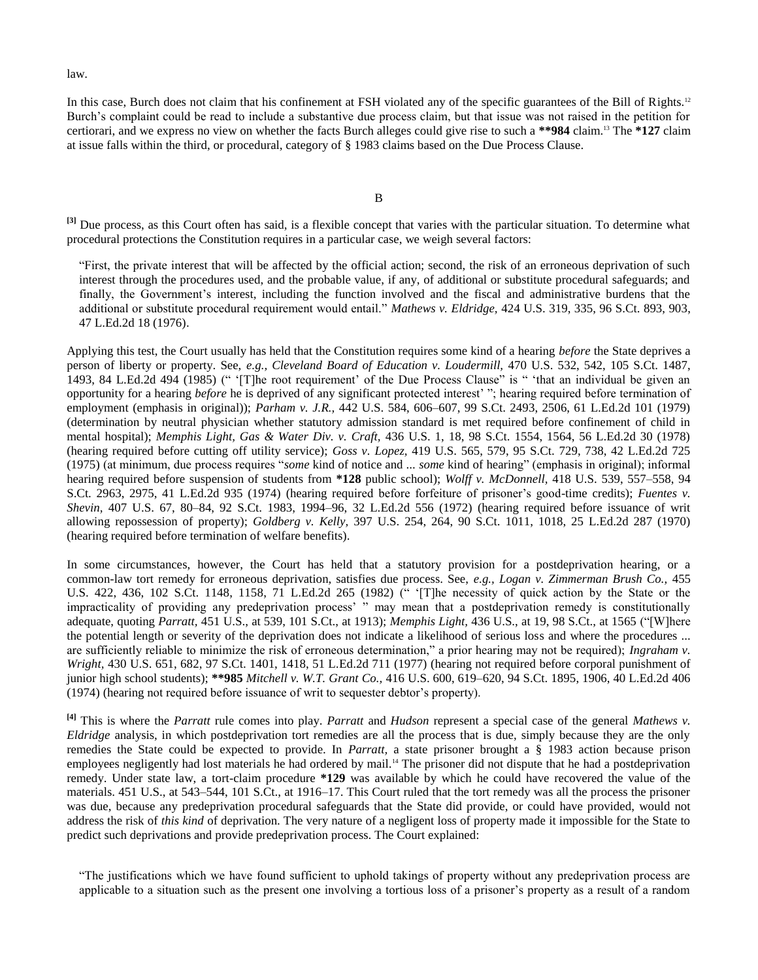law.

In this case, Burch does not claim that his confinement at FSH violated any of the specific guarantees of the Bill of Rights.<sup>12</sup> Burch's complaint could be read to include a substantive due process claim, but that issue was not raised in the petition for certiorari, and we express no view on whether the facts Burch alleges could give rise to such a **\*\*984** claim.<sup>13</sup> The **\*127** claim at issue falls within the third, or procedural, category of § 1983 claims based on the Due Process Clause.

<sup>[3]</sup> Due process, as this Court often has said, is a flexible concept that varies with the particular situation. To determine what procedural protections the Constitution requires in a particular case, we weigh several factors:

"First, the private interest that will be affected by the official action; second, the risk of an erroneous deprivation of such interest through the procedures used, and the probable value, if any, of additional or substitute procedural safeguards; and finally, the Government's interest, including the function involved and the fiscal and administrative burdens that the additional or substitute procedural requirement would entail." *Mathews v. Eldridge,* 424 U.S. 319, 335, 96 S.Ct. 893, 903, 47 L.Ed.2d 18 (1976).

Applying this test, the Court usually has held that the Constitution requires some kind of a hearing *before* the State deprives a person of liberty or property. See, *e.g., Cleveland Board of Education v. Loudermill,* 470 U.S. 532, 542, 105 S.Ct. 1487, 1493, 84 L.Ed.2d 494 (1985) (" '[T]he root requirement' of the Due Process Clause" is " 'that an individual be given an opportunity for a hearing *before* he is deprived of any significant protected interest' "; hearing required before termination of employment (emphasis in original)); *Parham v. J.R.,* 442 U.S. 584, 606–607, 99 S.Ct. 2493, 2506, 61 L.Ed.2d 101 (1979) (determination by neutral physician whether statutory admission standard is met required before confinement of child in mental hospital); *Memphis Light, Gas & Water Div. v. Craft,* 436 U.S. 1, 18, 98 S.Ct. 1554, 1564, 56 L.Ed.2d 30 (1978) (hearing required before cutting off utility service); *Goss v. Lopez,* 419 U.S. 565, 579, 95 S.Ct. 729, 738, 42 L.Ed.2d 725 (1975) (at minimum, due process requires "*some* kind of notice and ... *some* kind of hearing" (emphasis in original); informal hearing required before suspension of students from **\*128** public school); *Wolff v. McDonnell,* 418 U.S. 539, 557–558, 94 S.Ct. 2963, 2975, 41 L.Ed.2d 935 (1974) (hearing required before forfeiture of prisoner's good-time credits); *Fuentes v. Shevin,* 407 U.S. 67, 80–84, 92 S.Ct. 1983, 1994–96, 32 L.Ed.2d 556 (1972) (hearing required before issuance of writ allowing repossession of property); *Goldberg v. Kelly,* 397 U.S. 254, 264, 90 S.Ct. 1011, 1018, 25 L.Ed.2d 287 (1970) (hearing required before termination of welfare benefits).

In some circumstances, however, the Court has held that a statutory provision for a postdeprivation hearing, or a common-law tort remedy for erroneous deprivation, satisfies due process. See, *e.g., Logan v. Zimmerman Brush Co.,* 455 U.S. 422, 436, 102 S.Ct. 1148, 1158, 71 L.Ed.2d 265 (1982) (" '[T]he necessity of quick action by the State or the impracticality of providing any predeprivation process' " may mean that a postdeprivation remedy is constitutionally adequate, quoting *Parratt,* 451 U.S., at 539, 101 S.Ct., at 1913); *Memphis Light,* 436 U.S., at 19, 98 S.Ct., at 1565 ("[W]here the potential length or severity of the deprivation does not indicate a likelihood of serious loss and where the procedures ... are sufficiently reliable to minimize the risk of erroneous determination," a prior hearing may not be required); *Ingraham v. Wright,* 430 U.S. 651, 682, 97 S.Ct. 1401, 1418, 51 L.Ed.2d 711 (1977) (hearing not required before corporal punishment of junior high school students); **\*\*985** *Mitchell v. W.T. Grant Co.,* 416 U.S. 600, 619–620, 94 S.Ct. 1895, 1906, 40 L.Ed.2d 406 (1974) (hearing not required before issuance of writ to sequester debtor's property).

**[4]** This is where the *Parratt* rule comes into play. *Parratt* and *Hudson* represent a special case of the general *Mathews v. Eldridge* analysis, in which postdeprivation tort remedies are all the process that is due, simply because they are the only remedies the State could be expected to provide. In *Parratt,* a state prisoner brought a § 1983 action because prison employees negligently had lost materials he had ordered by mail.<sup>14</sup> The prisoner did not dispute that he had a postdeprivation remedy. Under state law, a tort-claim procedure **\*129** was available by which he could have recovered the value of the materials. 451 U.S., at 543–544, 101 S.Ct., at 1916–17. This Court ruled that the tort remedy was all the process the prisoner was due, because any predeprivation procedural safeguards that the State did provide, or could have provided, would not address the risk of *this kind* of deprivation. The very nature of a negligent loss of property made it impossible for the State to predict such deprivations and provide predeprivation process. The Court explained:

"The justifications which we have found sufficient to uphold takings of property without any predeprivation process are applicable to a situation such as the present one involving a tortious loss of a prisoner's property as a result of a random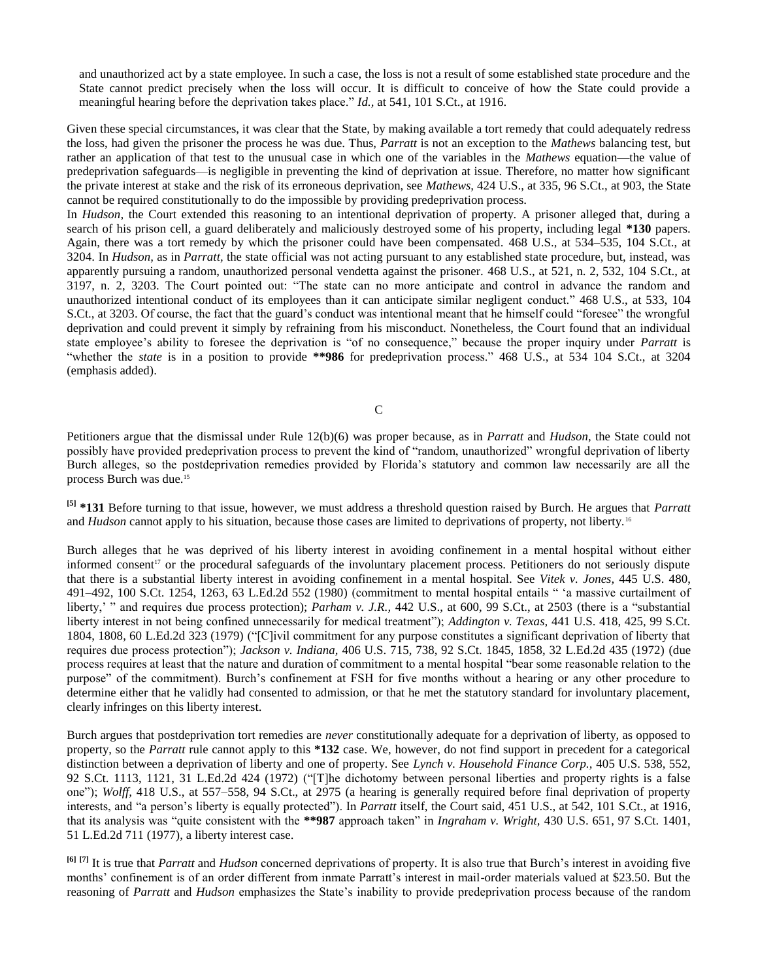and unauthorized act by a state employee. In such a case, the loss is not a result of some established state procedure and the State cannot predict precisely when the loss will occur. It is difficult to conceive of how the State could provide a meaningful hearing before the deprivation takes place." *Id.,* at 541, 101 S.Ct., at 1916.

Given these special circumstances, it was clear that the State, by making available a tort remedy that could adequately redress the loss, had given the prisoner the process he was due. Thus, *Parratt* is not an exception to the *Mathews* balancing test, but rather an application of that test to the unusual case in which one of the variables in the *Mathews* equation—the value of predeprivation safeguards—is negligible in preventing the kind of deprivation at issue. Therefore, no matter how significant the private interest at stake and the risk of its erroneous deprivation, see *Mathews,* 424 U.S., at 335, 96 S.Ct., at 903, the State cannot be required constitutionally to do the impossible by providing predeprivation process.

In *Hudson,* the Court extended this reasoning to an intentional deprivation of property. A prisoner alleged that, during a search of his prison cell, a guard deliberately and maliciously destroyed some of his property, including legal **\*130** papers. Again, there was a tort remedy by which the prisoner could have been compensated. 468 U.S., at 534–535, 104 S.Ct., at 3204. In *Hudson,* as in *Parratt,* the state official was not acting pursuant to any established state procedure, but, instead, was apparently pursuing a random, unauthorized personal vendetta against the prisoner. 468 U.S., at 521, n. 2, 532, 104 S.Ct., at 3197, n. 2, 3203. The Court pointed out: "The state can no more anticipate and control in advance the random and unauthorized intentional conduct of its employees than it can anticipate similar negligent conduct." 468 U.S., at 533, 104 S.Ct., at 3203. Of course, the fact that the guard's conduct was intentional meant that he himself could "foresee" the wrongful deprivation and could prevent it simply by refraining from his misconduct. Nonetheless, the Court found that an individual state employee's ability to foresee the deprivation is "of no consequence," because the proper inquiry under *Parratt* is "whether the *state* is in a position to provide **\*\*986** for predeprivation process." 468 U.S., at 534 104 S.Ct., at 3204 (emphasis added).

C

Petitioners argue that the dismissal under Rule 12(b)(6) was proper because, as in *Parratt* and *Hudson,* the State could not possibly have provided predeprivation process to prevent the kind of "random, unauthorized" wrongful deprivation of liberty Burch alleges, so the postdeprivation remedies provided by Florida's statutory and common law necessarily are all the process Burch was due.<sup>15</sup>

**[5] \*131** Before turning to that issue, however, we must address a threshold question raised by Burch. He argues that *Parratt* and *Hudson* cannot apply to his situation, because those cases are limited to deprivations of property, not liberty.<sup>16</sup>

Burch alleges that he was deprived of his liberty interest in avoiding confinement in a mental hospital without either informed consent<sup>17</sup> or the procedural safeguards of the involuntary placement process. Petitioners do not seriously dispute that there is a substantial liberty interest in avoiding confinement in a mental hospital. See *Vitek v. Jones,* 445 U.S. 480, 491–492, 100 S.Ct. 1254, 1263, 63 L.Ed.2d 552 (1980) (commitment to mental hospital entails " 'a massive curtailment of liberty,' " and requires due process protection); *Parham v. J.R.,* 442 U.S., at 600, 99 S.Ct., at 2503 (there is a "substantial liberty interest in not being confined unnecessarily for medical treatment"); *Addington v. Texas,* 441 U.S. 418, 425, 99 S.Ct. 1804, 1808, 60 L.Ed.2d 323 (1979) ("[C]ivil commitment for any purpose constitutes a significant deprivation of liberty that requires due process protection"); *Jackson v. Indiana,* 406 U.S. 715, 738, 92 S.Ct. 1845, 1858, 32 L.Ed.2d 435 (1972) (due process requires at least that the nature and duration of commitment to a mental hospital "bear some reasonable relation to the purpose" of the commitment). Burch's confinement at FSH for five months without a hearing or any other procedure to determine either that he validly had consented to admission, or that he met the statutory standard for involuntary placement, clearly infringes on this liberty interest.

Burch argues that postdeprivation tort remedies are *never* constitutionally adequate for a deprivation of liberty, as opposed to property, so the *Parratt* rule cannot apply to this **\*132** case. We, however, do not find support in precedent for a categorical distinction between a deprivation of liberty and one of property. See *Lynch v. Household Finance Corp.,* 405 U.S. 538, 552, 92 S.Ct. 1113, 1121, 31 L.Ed.2d 424 (1972) ("[T]he dichotomy between personal liberties and property rights is a false one"); *Wolff,* 418 U.S., at 557–558, 94 S.Ct., at 2975 (a hearing is generally required before final deprivation of property interests, and "a person's liberty is equally protected"). In *Parratt* itself, the Court said, 451 U.S., at 542, 101 S.Ct., at 1916, that its analysis was "quite consistent with the **\*\*987** approach taken" in *Ingraham v. Wright,* 430 U.S. 651, 97 S.Ct. 1401, 51 L.Ed.2d 711 (1977), a liberty interest case.

**[6] [7]** It is true that *Parratt* and *Hudson* concerned deprivations of property. It is also true that Burch's interest in avoiding five months' confinement is of an order different from inmate Parratt's interest in mail-order materials valued at \$23.50. But the reasoning of *Parratt* and *Hudson* emphasizes the State's inability to provide predeprivation process because of the random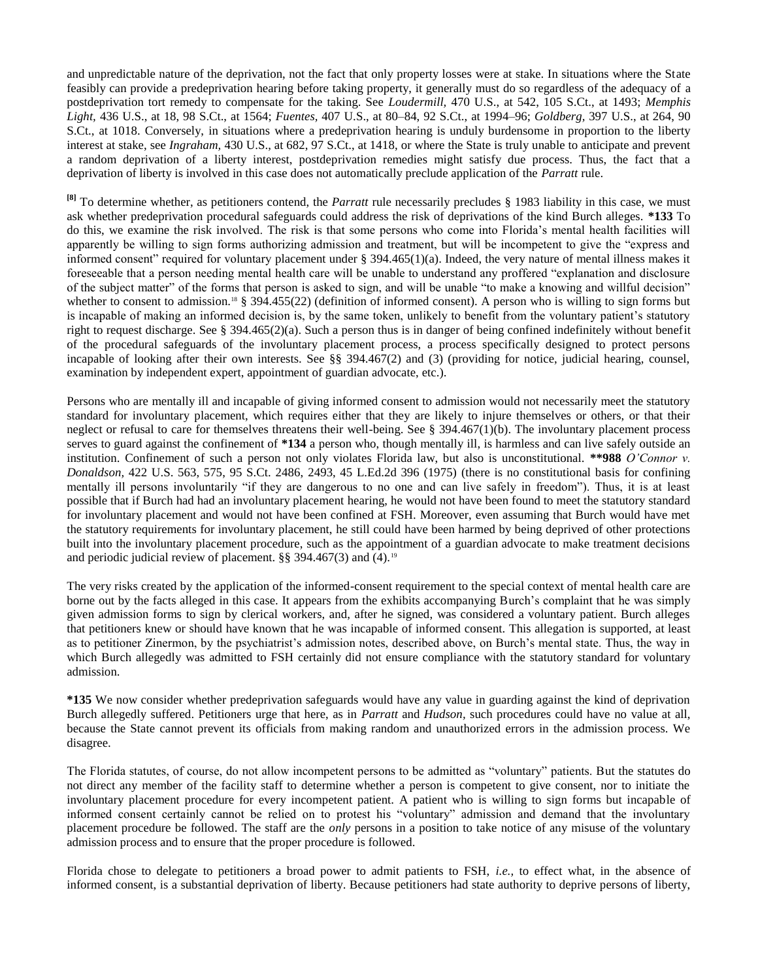and unpredictable nature of the deprivation, not the fact that only property losses were at stake. In situations where the State feasibly can provide a predeprivation hearing before taking property, it generally must do so regardless of the adequacy of a postdeprivation tort remedy to compensate for the taking. See *Loudermill,* 470 U.S., at 542, 105 S.Ct., at 1493; *Memphis Light,* 436 U.S., at 18, 98 S.Ct., at 1564; *Fuentes,* 407 U.S., at 80–84, 92 S.Ct., at 1994–96; *Goldberg,* 397 U.S., at 264, 90 S.Ct., at 1018. Conversely, in situations where a predeprivation hearing is unduly burdensome in proportion to the liberty interest at stake, see *Ingraham,* 430 U.S., at 682, 97 S.Ct., at 1418, or where the State is truly unable to anticipate and prevent a random deprivation of a liberty interest, postdeprivation remedies might satisfy due process. Thus, the fact that a deprivation of liberty is involved in this case does not automatically preclude application of the *Parratt* rule.

**[8]** To determine whether, as petitioners contend, the *Parratt* rule necessarily precludes § 1983 liability in this case, we must ask whether predeprivation procedural safeguards could address the risk of deprivations of the kind Burch alleges. **\*133** To do this, we examine the risk involved. The risk is that some persons who come into Florida's mental health facilities will apparently be willing to sign forms authorizing admission and treatment, but will be incompetent to give the "express and informed consent" required for voluntary placement under  $\S$  394.465(1)(a). Indeed, the very nature of mental illness makes it foreseeable that a person needing mental health care will be unable to understand any proffered "explanation and disclosure of the subject matter" of the forms that person is asked to sign, and will be unable "to make a knowing and willful decision" whether to consent to admission.<sup>18</sup> § 394.455(22) (definition of informed consent). A person who is willing to sign forms but is incapable of making an informed decision is, by the same token, unlikely to benefit from the voluntary patient's statutory right to request discharge. See § 394.465(2)(a). Such a person thus is in danger of being confined indefinitely without benefit of the procedural safeguards of the involuntary placement process, a process specifically designed to protect persons incapable of looking after their own interests. See §§ 394.467(2) and (3) (providing for notice, judicial hearing, counsel, examination by independent expert, appointment of guardian advocate, etc.).

Persons who are mentally ill and incapable of giving informed consent to admission would not necessarily meet the statutory standard for involuntary placement, which requires either that they are likely to injure themselves or others, or that their neglect or refusal to care for themselves threatens their well-being. See § 394.467(1)(b). The involuntary placement process serves to guard against the confinement of **\*134** a person who, though mentally ill, is harmless and can live safely outside an institution. Confinement of such a person not only violates Florida law, but also is unconstitutional. **\*\*988** *O'Connor v. Donaldson,* 422 U.S. 563, 575, 95 S.Ct. 2486, 2493, 45 L.Ed.2d 396 (1975) (there is no constitutional basis for confining mentally ill persons involuntarily "if they are dangerous to no one and can live safely in freedom"). Thus, it is at least possible that if Burch had had an involuntary placement hearing, he would not have been found to meet the statutory standard for involuntary placement and would not have been confined at FSH. Moreover, even assuming that Burch would have met the statutory requirements for involuntary placement, he still could have been harmed by being deprived of other protections built into the involuntary placement procedure, such as the appointment of a guardian advocate to make treatment decisions and periodic judicial review of placement. §§ 394.467(3) and (4).<sup>19</sup>

The very risks created by the application of the informed-consent requirement to the special context of mental health care are borne out by the facts alleged in this case. It appears from the exhibits accompanying Burch's complaint that he was simply given admission forms to sign by clerical workers, and, after he signed, was considered a voluntary patient. Burch alleges that petitioners knew or should have known that he was incapable of informed consent. This allegation is supported, at least as to petitioner Zinermon, by the psychiatrist's admission notes, described above, on Burch's mental state. Thus, the way in which Burch allegedly was admitted to FSH certainly did not ensure compliance with the statutory standard for voluntary admission.

**\*135** We now consider whether predeprivation safeguards would have any value in guarding against the kind of deprivation Burch allegedly suffered. Petitioners urge that here, as in *Parratt* and *Hudson,* such procedures could have no value at all, because the State cannot prevent its officials from making random and unauthorized errors in the admission process. We disagree.

The Florida statutes, of course, do not allow incompetent persons to be admitted as "voluntary" patients. But the statutes do not direct any member of the facility staff to determine whether a person is competent to give consent, nor to initiate the involuntary placement procedure for every incompetent patient. A patient who is willing to sign forms but incapable of informed consent certainly cannot be relied on to protest his "voluntary" admission and demand that the involuntary placement procedure be followed. The staff are the *only* persons in a position to take notice of any misuse of the voluntary admission process and to ensure that the proper procedure is followed.

Florida chose to delegate to petitioners a broad power to admit patients to FSH, *i.e.,* to effect what, in the absence of informed consent, is a substantial deprivation of liberty. Because petitioners had state authority to deprive persons of liberty,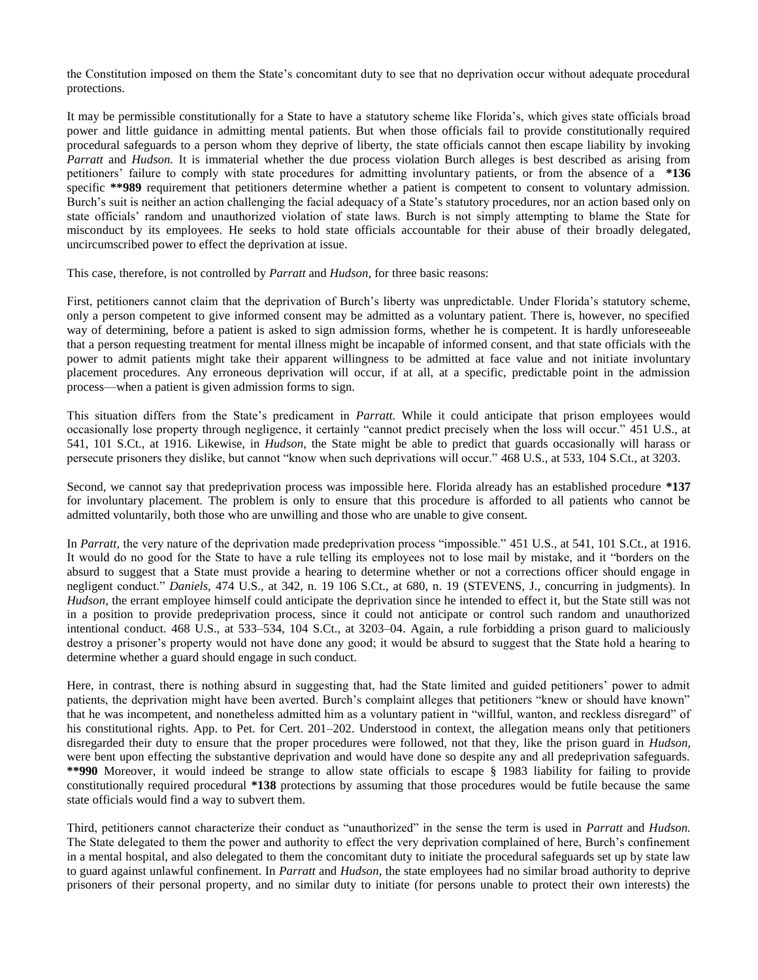the Constitution imposed on them the State's concomitant duty to see that no deprivation occur without adequate procedural protections.

It may be permissible constitutionally for a State to have a statutory scheme like Florida's, which gives state officials broad power and little guidance in admitting mental patients. But when those officials fail to provide constitutionally required procedural safeguards to a person whom they deprive of liberty, the state officials cannot then escape liability by invoking *Parratt* and *Hudson.* It is immaterial whether the due process violation Burch alleges is best described as arising from petitioners' failure to comply with state procedures for admitting involuntary patients, or from the absence of a **\*136** specific \*\*989 requirement that petitioners determine whether a patient is competent to consent to voluntary admission. Burch's suit is neither an action challenging the facial adequacy of a State's statutory procedures, nor an action based only on state officials' random and unauthorized violation of state laws. Burch is not simply attempting to blame the State for misconduct by its employees. He seeks to hold state officials accountable for their abuse of their broadly delegated, uncircumscribed power to effect the deprivation at issue.

This case, therefore, is not controlled by *Parratt* and *Hudson,* for three basic reasons:

First, petitioners cannot claim that the deprivation of Burch's liberty was unpredictable. Under Florida's statutory scheme, only a person competent to give informed consent may be admitted as a voluntary patient. There is, however, no specified way of determining, before a patient is asked to sign admission forms, whether he is competent. It is hardly unforeseeable that a person requesting treatment for mental illness might be incapable of informed consent, and that state officials with the power to admit patients might take their apparent willingness to be admitted at face value and not initiate involuntary placement procedures. Any erroneous deprivation will occur, if at all, at a specific, predictable point in the admission process—when a patient is given admission forms to sign.

This situation differs from the State's predicament in *Parratt.* While it could anticipate that prison employees would occasionally lose property through negligence, it certainly "cannot predict precisely when the loss will occur." 451 U.S., at 541, 101 S.Ct., at 1916. Likewise, in *Hudson,* the State might be able to predict that guards occasionally will harass or persecute prisoners they dislike, but cannot "know when such deprivations will occur." 468 U.S., at 533, 104 S.Ct., at 3203.

Second, we cannot say that predeprivation process was impossible here. Florida already has an established procedure **\*137** for involuntary placement. The problem is only to ensure that this procedure is afforded to all patients who cannot be admitted voluntarily, both those who are unwilling and those who are unable to give consent.

In *Parratt,* the very nature of the deprivation made predeprivation process "impossible." 451 U.S., at 541, 101 S.Ct., at 1916. It would do no good for the State to have a rule telling its employees not to lose mail by mistake, and it "borders on the absurd to suggest that a State must provide a hearing to determine whether or not a corrections officer should engage in negligent conduct." *Daniels,* 474 U.S., at 342, n. 19 106 S.Ct., at 680, n. 19 (STEVENS, J., concurring in judgments). In *Hudson,* the errant employee himself could anticipate the deprivation since he intended to effect it, but the State still was not in a position to provide predeprivation process, since it could not anticipate or control such random and unauthorized intentional conduct. 468 U.S., at 533–534, 104 S.Ct., at 3203–04. Again, a rule forbidding a prison guard to maliciously destroy a prisoner's property would not have done any good; it would be absurd to suggest that the State hold a hearing to determine whether a guard should engage in such conduct.

Here, in contrast, there is nothing absurd in suggesting that, had the State limited and guided petitioners' power to admit patients, the deprivation might have been averted. Burch's complaint alleges that petitioners "knew or should have known" that he was incompetent, and nonetheless admitted him as a voluntary patient in "willful, wanton, and reckless disregard" of his constitutional rights. App. to Pet. for Cert. 201–202. Understood in context, the allegation means only that petitioners disregarded their duty to ensure that the proper procedures were followed, not that they, like the prison guard in *Hudson,* were bent upon effecting the substantive deprivation and would have done so despite any and all predeprivation safeguards. **\*\*990** Moreover, it would indeed be strange to allow state officials to escape § 1983 liability for failing to provide constitutionally required procedural **\*138** protections by assuming that those procedures would be futile because the same state officials would find a way to subvert them.

Third, petitioners cannot characterize their conduct as "unauthorized" in the sense the term is used in *Parratt* and *Hudson.* The State delegated to them the power and authority to effect the very deprivation complained of here, Burch's confinement in a mental hospital, and also delegated to them the concomitant duty to initiate the procedural safeguards set up by state law to guard against unlawful confinement. In *Parratt* and *Hudson,* the state employees had no similar broad authority to deprive prisoners of their personal property, and no similar duty to initiate (for persons unable to protect their own interests) the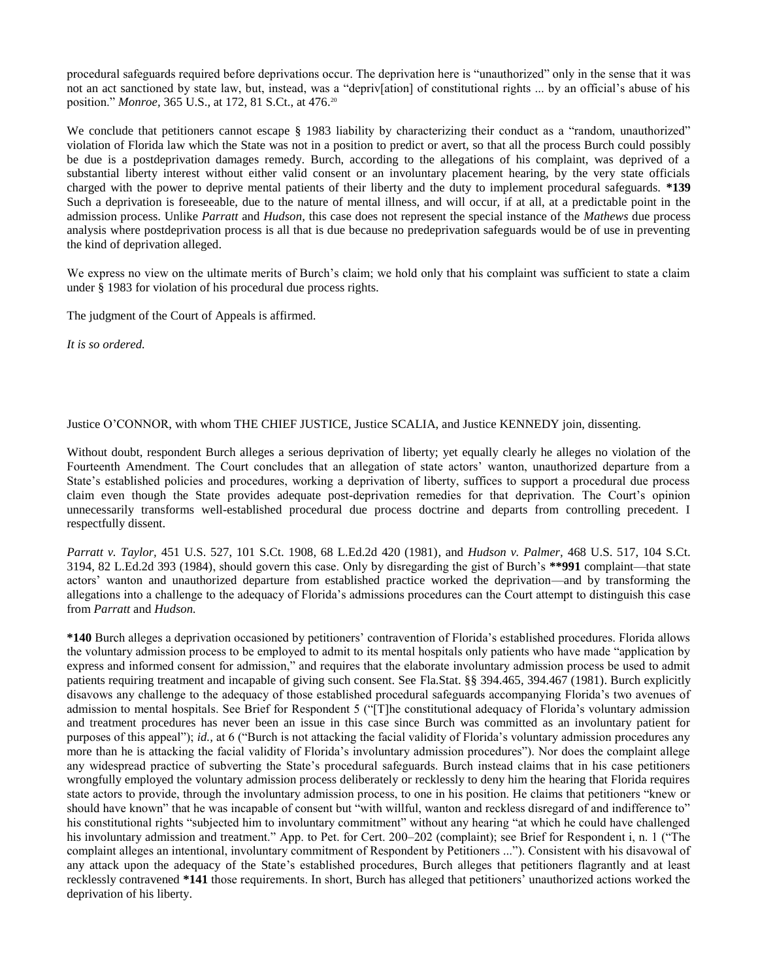procedural safeguards required before deprivations occur. The deprivation here is "unauthorized" only in the sense that it was not an act sanctioned by state law, but, instead, was a "depriv[ation] of constitutional rights ... by an official's abuse of his position." *Monroe,* 365 U.S., at 172, 81 S.Ct., at 476. 20

We conclude that petitioners cannot escape § 1983 liability by characterizing their conduct as a "random, unauthorized" violation of Florida law which the State was not in a position to predict or avert, so that all the process Burch could possibly be due is a postdeprivation damages remedy. Burch, according to the allegations of his complaint, was deprived of a substantial liberty interest without either valid consent or an involuntary placement hearing, by the very state officials charged with the power to deprive mental patients of their liberty and the duty to implement procedural safeguards. **\*139** Such a deprivation is foreseeable, due to the nature of mental illness, and will occur, if at all, at a predictable point in the admission process. Unlike *Parratt* and *Hudson,* this case does not represent the special instance of the *Mathews* due process analysis where postdeprivation process is all that is due because no predeprivation safeguards would be of use in preventing the kind of deprivation alleged.

We express no view on the ultimate merits of Burch's claim; we hold only that his complaint was sufficient to state a claim under § 1983 for violation of his procedural due process rights.

The judgment of the Court of Appeals is affirmed.

*It is so ordered.*

Justice O'CONNOR, with whom THE CHIEF JUSTICE, Justice SCALIA, and Justice KENNEDY join, dissenting.

Without doubt, respondent Burch alleges a serious deprivation of liberty; yet equally clearly he alleges no violation of the Fourteenth Amendment. The Court concludes that an allegation of state actors' wanton, unauthorized departure from a State's established policies and procedures, working a deprivation of liberty, suffices to support a procedural due process claim even though the State provides adequate post-deprivation remedies for that deprivation. The Court's opinion unnecessarily transforms well-established procedural due process doctrine and departs from controlling precedent. I respectfully dissent.

*Parratt v. Taylor,* 451 U.S. 527, 101 S.Ct. 1908, 68 L.Ed.2d 420 (1981), and *Hudson v. Palmer,* 468 U.S. 517, 104 S.Ct. 3194, 82 L.Ed.2d 393 (1984), should govern this case. Only by disregarding the gist of Burch's **\*\*991** complaint—that state actors' wanton and unauthorized departure from established practice worked the deprivation—and by transforming the allegations into a challenge to the adequacy of Florida's admissions procedures can the Court attempt to distinguish this case from *Parratt* and *Hudson.*

**\*140** Burch alleges a deprivation occasioned by petitioners' contravention of Florida's established procedures. Florida allows the voluntary admission process to be employed to admit to its mental hospitals only patients who have made "application by express and informed consent for admission," and requires that the elaborate involuntary admission process be used to admit patients requiring treatment and incapable of giving such consent. See Fla.Stat. §§ 394.465, 394.467 (1981). Burch explicitly disavows any challenge to the adequacy of those established procedural safeguards accompanying Florida's two avenues of admission to mental hospitals. See Brief for Respondent 5 ("[T]he constitutional adequacy of Florida's voluntary admission and treatment procedures has never been an issue in this case since Burch was committed as an involuntary patient for purposes of this appeal"); *id.,* at 6 ("Burch is not attacking the facial validity of Florida's voluntary admission procedures any more than he is attacking the facial validity of Florida's involuntary admission procedures"). Nor does the complaint allege any widespread practice of subverting the State's procedural safeguards. Burch instead claims that in his case petitioners wrongfully employed the voluntary admission process deliberately or recklessly to deny him the hearing that Florida requires state actors to provide, through the involuntary admission process, to one in his position. He claims that petitioners "knew or should have known" that he was incapable of consent but "with willful, wanton and reckless disregard of and indifference to" his constitutional rights "subjected him to involuntary commitment" without any hearing "at which he could have challenged his involuntary admission and treatment." App. to Pet. for Cert. 200-202 (complaint); see Brief for Respondent i, n. 1 ("The complaint alleges an intentional, involuntary commitment of Respondent by Petitioners ..."). Consistent with his disavowal of any attack upon the adequacy of the State's established procedures, Burch alleges that petitioners flagrantly and at least recklessly contravened **\*141** those requirements. In short, Burch has alleged that petitioners' unauthorized actions worked the deprivation of his liberty.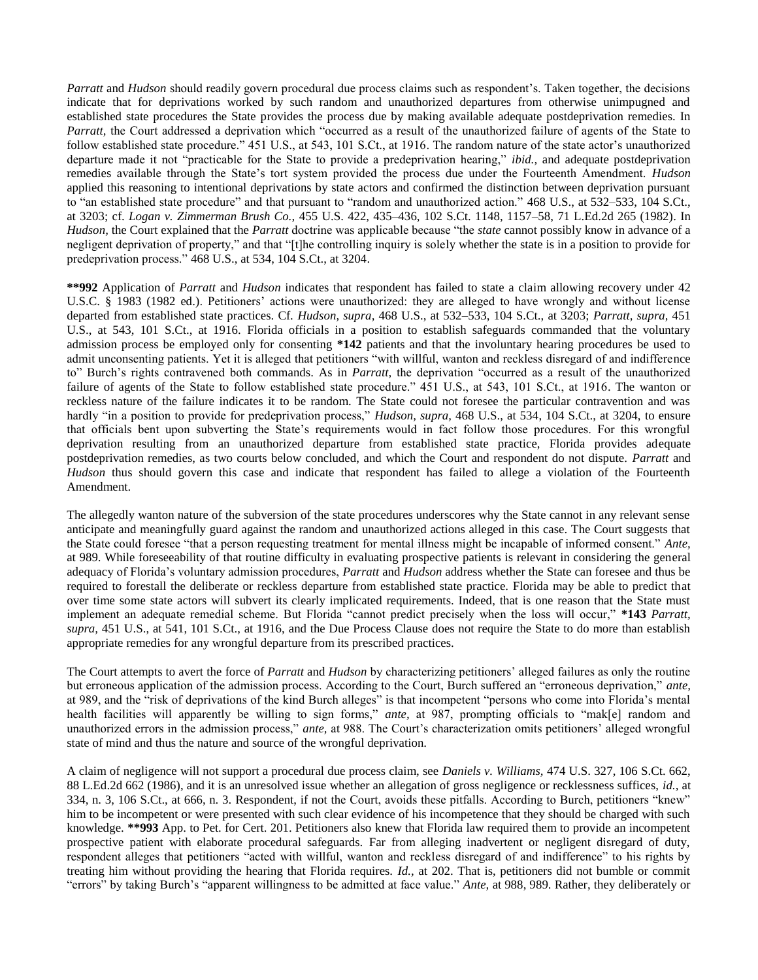*Parratt* and *Hudson* should readily govern procedural due process claims such as respondent's. Taken together, the decisions indicate that for deprivations worked by such random and unauthorized departures from otherwise unimpugned and established state procedures the State provides the process due by making available adequate postdeprivation remedies. In *Parratt*, the Court addressed a deprivation which "occurred as a result of the unauthorized failure of agents of the State to follow established state procedure." 451 U.S., at 543, 101 S.Ct., at 1916. The random nature of the state actor's unauthorized departure made it not "practicable for the State to provide a predeprivation hearing," *ibid.,* and adequate postdeprivation remedies available through the State's tort system provided the process due under the Fourteenth Amendment. *Hudson* applied this reasoning to intentional deprivations by state actors and confirmed the distinction between deprivation pursuant to "an established state procedure" and that pursuant to "random and unauthorized action." 468 U.S., at 532–533, 104 S.Ct., at 3203; cf. *Logan v. Zimmerman Brush Co.,* 455 U.S. 422, 435–436, 102 S.Ct. 1148, 1157–58, 71 L.Ed.2d 265 (1982). In *Hudson,* the Court explained that the *Parratt* doctrine was applicable because "the *state* cannot possibly know in advance of a negligent deprivation of property," and that "[t]he controlling inquiry is solely whether the state is in a position to provide for predeprivation process." 468 U.S., at 534, 104 S.Ct., at 3204.

**\*\*992** Application of *Parratt* and *Hudson* indicates that respondent has failed to state a claim allowing recovery under 42 U.S.C. § 1983 (1982 ed.). Petitioners' actions were unauthorized: they are alleged to have wrongly and without license departed from established state practices. Cf. *Hudson, supra,* 468 U.S., at 532–533, 104 S.Ct., at 3203; *Parratt, supra,* 451 U.S., at 543, 101 S.Ct., at 1916. Florida officials in a position to establish safeguards commanded that the voluntary admission process be employed only for consenting **\*142** patients and that the involuntary hearing procedures be used to admit unconsenting patients. Yet it is alleged that petitioners "with willful, wanton and reckless disregard of and indifference to" Burch's rights contravened both commands. As in *Parratt,* the deprivation "occurred as a result of the unauthorized failure of agents of the State to follow established state procedure." 451 U.S., at 543, 101 S.Ct., at 1916. The wanton or reckless nature of the failure indicates it to be random. The State could not foresee the particular contravention and was hardly "in a position to provide for predeprivation process," *Hudson, supra,* 468 U.S., at 534, 104 S.Ct., at 3204, to ensure that officials bent upon subverting the State's requirements would in fact follow those procedures. For this wrongful deprivation resulting from an unauthorized departure from established state practice, Florida provides adequate postdeprivation remedies, as two courts below concluded, and which the Court and respondent do not dispute. *Parratt* and *Hudson* thus should govern this case and indicate that respondent has failed to allege a violation of the Fourteenth Amendment.

The allegedly wanton nature of the subversion of the state procedures underscores why the State cannot in any relevant sense anticipate and meaningfully guard against the random and unauthorized actions alleged in this case. The Court suggests that the State could foresee "that a person requesting treatment for mental illness might be incapable of informed consent." *Ante,* at 989. While foreseeability of that routine difficulty in evaluating prospective patients is relevant in considering the general adequacy of Florida's voluntary admission procedures, *Parratt* and *Hudson* address whether the State can foresee and thus be required to forestall the deliberate or reckless departure from established state practice. Florida may be able to predict that over time some state actors will subvert its clearly implicated requirements. Indeed, that is one reason that the State must implement an adequate remedial scheme. But Florida "cannot predict precisely when the loss will occur," **\*143** *Parratt, supra,* 451 U.S., at 541, 101 S.Ct., at 1916, and the Due Process Clause does not require the State to do more than establish appropriate remedies for any wrongful departure from its prescribed practices.

The Court attempts to avert the force of *Parratt* and *Hudson* by characterizing petitioners' alleged failures as only the routine but erroneous application of the admission process. According to the Court, Burch suffered an "erroneous deprivation," *ante,* at 989, and the "risk of deprivations of the kind Burch alleges" is that incompetent "persons who come into Florida's mental health facilities will apparently be willing to sign forms," ante, at 987, prompting officials to "mak[e] random and unauthorized errors in the admission process," *ante,* at 988. The Court's characterization omits petitioners' alleged wrongful state of mind and thus the nature and source of the wrongful deprivation.

A claim of negligence will not support a procedural due process claim, see *Daniels v. Williams,* 474 U.S. 327, 106 S.Ct. 662, 88 L.Ed.2d 662 (1986), and it is an unresolved issue whether an allegation of gross negligence or recklessness suffices, *id.,* at 334, n. 3, 106 S.Ct., at 666, n. 3. Respondent, if not the Court, avoids these pitfalls. According to Burch, petitioners "knew" him to be incompetent or were presented with such clear evidence of his incompetence that they should be charged with such knowledge. **\*\*993** App. to Pet. for Cert. 201. Petitioners also knew that Florida law required them to provide an incompetent prospective patient with elaborate procedural safeguards. Far from alleging inadvertent or negligent disregard of duty, respondent alleges that petitioners "acted with willful, wanton and reckless disregard of and indifference" to his rights by treating him without providing the hearing that Florida requires. *Id.,* at 202. That is, petitioners did not bumble or commit "errors" by taking Burch's "apparent willingness to be admitted at face value." *Ante,* at 988, 989. Rather, they deliberately or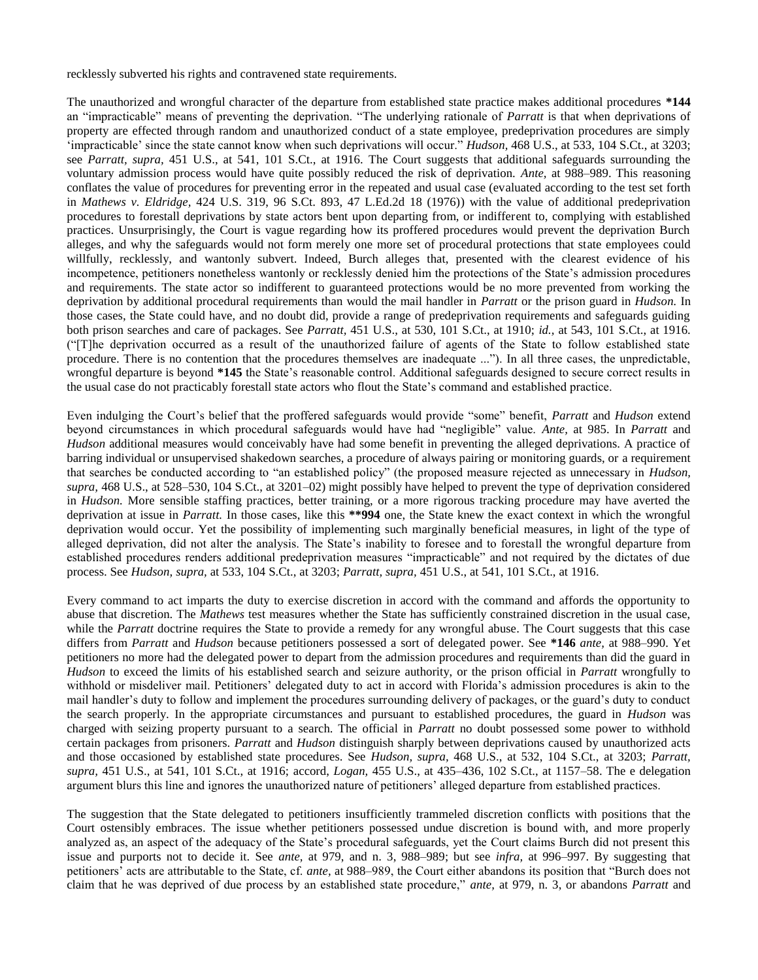recklessly subverted his rights and contravened state requirements.

The unauthorized and wrongful character of the departure from established state practice makes additional procedures **\*144** an "impracticable" means of preventing the deprivation. "The underlying rationale of *Parratt* is that when deprivations of property are effected through random and unauthorized conduct of a state employee, predeprivation procedures are simply 'impracticable' since the state cannot know when such deprivations will occur." *Hudson,* 468 U.S., at 533, 104 S.Ct., at 3203; see *Parratt, supra,* 451 U.S., at 541, 101 S.Ct., at 1916. The Court suggests that additional safeguards surrounding the voluntary admission process would have quite possibly reduced the risk of deprivation. *Ante,* at 988–989. This reasoning conflates the value of procedures for preventing error in the repeated and usual case (evaluated according to the test set forth in *Mathews v. Eldridge,* 424 U.S. 319, 96 S.Ct. 893, 47 L.Ed.2d 18 (1976)) with the value of additional predeprivation procedures to forestall deprivations by state actors bent upon departing from, or indifferent to, complying with established practices. Unsurprisingly, the Court is vague regarding how its proffered procedures would prevent the deprivation Burch alleges, and why the safeguards would not form merely one more set of procedural protections that state employees could willfully, recklessly, and wantonly subvert. Indeed, Burch alleges that, presented with the clearest evidence of his incompetence, petitioners nonetheless wantonly or recklessly denied him the protections of the State's admission procedures and requirements. The state actor so indifferent to guaranteed protections would be no more prevented from working the deprivation by additional procedural requirements than would the mail handler in *Parratt* or the prison guard in *Hudson.* In those cases, the State could have, and no doubt did, provide a range of predeprivation requirements and safeguards guiding both prison searches and care of packages. See *Parratt,* 451 U.S., at 530, 101 S.Ct., at 1910; *id.,* at 543, 101 S.Ct., at 1916. ("[T]he deprivation occurred as a result of the unauthorized failure of agents of the State to follow established state procedure. There is no contention that the procedures themselves are inadequate ..."). In all three cases, the unpredictable, wrongful departure is beyond **\*145** the State's reasonable control. Additional safeguards designed to secure correct results in the usual case do not practicably forestall state actors who flout the State's command and established practice.

Even indulging the Court's belief that the proffered safeguards would provide "some" benefit, *Parratt* and *Hudson* extend beyond circumstances in which procedural safeguards would have had "negligible" value. *Ante,* at 985. In *Parratt* and *Hudson* additional measures would conceivably have had some benefit in preventing the alleged deprivations. A practice of barring individual or unsupervised shakedown searches, a procedure of always pairing or monitoring guards, or a requirement that searches be conducted according to "an established policy" (the proposed measure rejected as unnecessary in *Hudson, supra,* 468 U.S., at 528–530, 104 S.Ct., at 3201–02) might possibly have helped to prevent the type of deprivation considered in *Hudson.* More sensible staffing practices, better training, or a more rigorous tracking procedure may have averted the deprivation at issue in *Parratt.* In those cases, like this **\*\*994** one, the State knew the exact context in which the wrongful deprivation would occur. Yet the possibility of implementing such marginally beneficial measures, in light of the type of alleged deprivation, did not alter the analysis. The State's inability to foresee and to forestall the wrongful departure from established procedures renders additional predeprivation measures "impracticable" and not required by the dictates of due process. See *Hudson, supra,* at 533, 104 S.Ct., at 3203; *Parratt, supra,* 451 U.S., at 541, 101 S.Ct., at 1916.

Every command to act imparts the duty to exercise discretion in accord with the command and affords the opportunity to abuse that discretion. The *Mathews* test measures whether the State has sufficiently constrained discretion in the usual case, while the *Parratt* doctrine requires the State to provide a remedy for any wrongful abuse. The Court suggests that this case differs from *Parratt* and *Hudson* because petitioners possessed a sort of delegated power. See **\*146** *ante,* at 988–990. Yet petitioners no more had the delegated power to depart from the admission procedures and requirements than did the guard in *Hudson* to exceed the limits of his established search and seizure authority, or the prison official in *Parratt* wrongfully to withhold or misdeliver mail. Petitioners' delegated duty to act in accord with Florida's admission procedures is akin to the mail handler's duty to follow and implement the procedures surrounding delivery of packages, or the guard's duty to conduct the search properly. In the appropriate circumstances and pursuant to established procedures, the guard in *Hudson* was charged with seizing property pursuant to a search. The official in *Parratt* no doubt possessed some power to withhold certain packages from prisoners. *Parratt* and *Hudson* distinguish sharply between deprivations caused by unauthorized acts and those occasioned by established state procedures. See *Hudson, supra,* 468 U.S., at 532, 104 S.Ct., at 3203; *Parratt, supra,* 451 U.S., at 541, 101 S.Ct., at 1916; accord, *Logan,* 455 U.S., at 435–436, 102 S.Ct., at 1157–58. The e delegation argument blurs this line and ignores the unauthorized nature of petitioners' alleged departure from established practices.

The suggestion that the State delegated to petitioners insufficiently trammeled discretion conflicts with positions that the Court ostensibly embraces. The issue whether petitioners possessed undue discretion is bound with, and more properly analyzed as, an aspect of the adequacy of the State's procedural safeguards, yet the Court claims Burch did not present this issue and purports not to decide it. See *ante,* at 979, and n. 3, 988–989; but see *infra,* at 996–997. By suggesting that petitioners' acts are attributable to the State, cf. *ante,* at 988–989, the Court either abandons its position that "Burch does not claim that he was deprived of due process by an established state procedure," *ante,* at 979, n. 3, or abandons *Parratt* and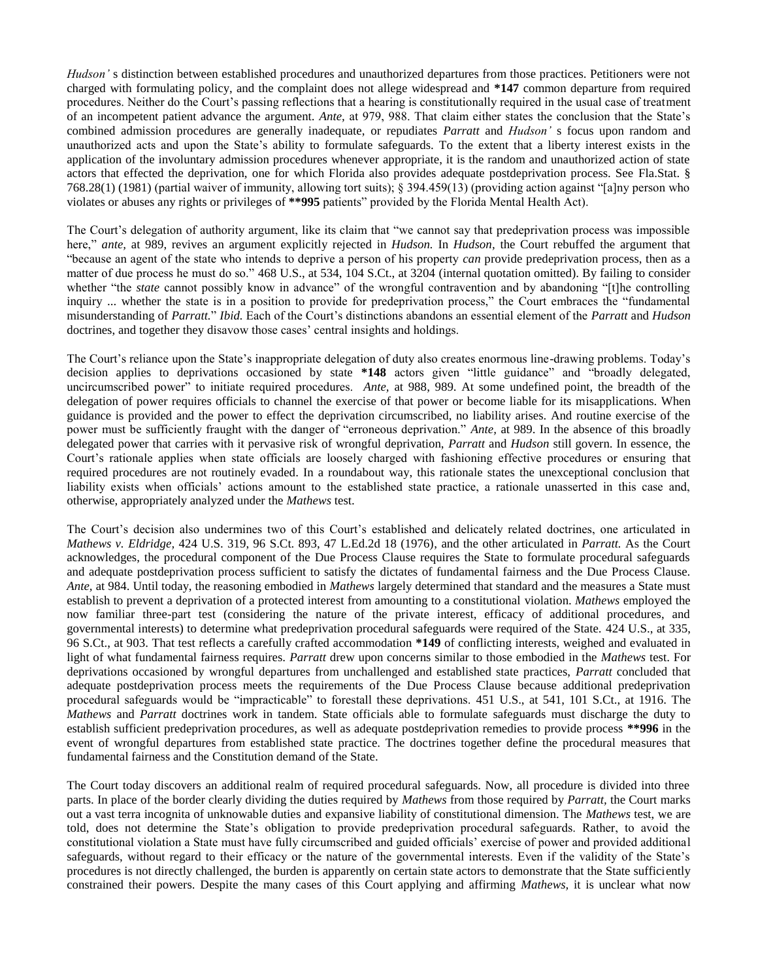*Hudson'* s distinction between established procedures and unauthorized departures from those practices. Petitioners were not charged with formulating policy, and the complaint does not allege widespread and **\*147** common departure from required procedures. Neither do the Court's passing reflections that a hearing is constitutionally required in the usual case of treatment of an incompetent patient advance the argument. *Ante,* at 979, 988. That claim either states the conclusion that the State's combined admission procedures are generally inadequate, or repudiates *Parratt* and *Hudson'* s focus upon random and unauthorized acts and upon the State's ability to formulate safeguards. To the extent that a liberty interest exists in the application of the involuntary admission procedures whenever appropriate, it is the random and unauthorized action of state actors that effected the deprivation, one for which Florida also provides adequate postdeprivation process. See Fla.Stat. § 768.28(1) (1981) (partial waiver of immunity, allowing tort suits); § 394.459(13) (providing action against "[a]ny person who violates or abuses any rights or privileges of **\*\*995** patients" provided by the Florida Mental Health Act).

The Court's delegation of authority argument, like its claim that "we cannot say that predeprivation process was impossible here," *ante,* at 989, revives an argument explicitly rejected in *Hudson.* In *Hudson,* the Court rebuffed the argument that "because an agent of the state who intends to deprive a person of his property *can* provide predeprivation process, then as a matter of due process he must do so." 468 U.S., at 534, 104 S.Ct., at 3204 (internal quotation omitted). By failing to consider whether "the *state* cannot possibly know in advance" of the wrongful contravention and by abandoning "[t]he controlling inquiry ... whether the state is in a position to provide for predeprivation process," the Court embraces the "fundamental misunderstanding of *Parratt.*" *Ibid.* Each of the Court's distinctions abandons an essential element of the *Parratt* and *Hudson* doctrines, and together they disavow those cases' central insights and holdings.

The Court's reliance upon the State's inappropriate delegation of duty also creates enormous line-drawing problems. Today's decision applies to deprivations occasioned by state **\*148** actors given "little guidance" and "broadly delegated, uncircumscribed power" to initiate required procedures. *Ante,* at 988, 989. At some undefined point, the breadth of the delegation of power requires officials to channel the exercise of that power or become liable for its misapplications. When guidance is provided and the power to effect the deprivation circumscribed, no liability arises. And routine exercise of the power must be sufficiently fraught with the danger of "erroneous deprivation." *Ante,* at 989. In the absence of this broadly delegated power that carries with it pervasive risk of wrongful deprivation, *Parratt* and *Hudson* still govern. In essence, the Court's rationale applies when state officials are loosely charged with fashioning effective procedures or ensuring that required procedures are not routinely evaded. In a roundabout way, this rationale states the unexceptional conclusion that liability exists when officials' actions amount to the established state practice, a rationale unasserted in this case and, otherwise, appropriately analyzed under the *Mathews* test.

The Court's decision also undermines two of this Court's established and delicately related doctrines, one articulated in *Mathews v. Eldridge,* 424 U.S. 319, 96 S.Ct. 893, 47 L.Ed.2d 18 (1976), and the other articulated in *Parratt.* As the Court acknowledges, the procedural component of the Due Process Clause requires the State to formulate procedural safeguards and adequate postdeprivation process sufficient to satisfy the dictates of fundamental fairness and the Due Process Clause. *Ante,* at 984. Until today, the reasoning embodied in *Mathews* largely determined that standard and the measures a State must establish to prevent a deprivation of a protected interest from amounting to a constitutional violation. *Mathews* employed the now familiar three-part test (considering the nature of the private interest, efficacy of additional procedures, and governmental interests) to determine what predeprivation procedural safeguards were required of the State. 424 U.S., at 335, 96 S.Ct., at 903. That test reflects a carefully crafted accommodation **\*149** of conflicting interests, weighed and evaluated in light of what fundamental fairness requires. *Parratt* drew upon concerns similar to those embodied in the *Mathews* test. For deprivations occasioned by wrongful departures from unchallenged and established state practices, *Parratt* concluded that adequate postdeprivation process meets the requirements of the Due Process Clause because additional predeprivation procedural safeguards would be "impracticable" to forestall these deprivations. 451 U.S., at 541, 101 S.Ct., at 1916. The *Mathews* and *Parratt* doctrines work in tandem. State officials able to formulate safeguards must discharge the duty to establish sufficient predeprivation procedures, as well as adequate postdeprivation remedies to provide process **\*\*996** in the event of wrongful departures from established state practice. The doctrines together define the procedural measures that fundamental fairness and the Constitution demand of the State.

The Court today discovers an additional realm of required procedural safeguards. Now, all procedure is divided into three parts. In place of the border clearly dividing the duties required by *Mathews* from those required by *Parratt,* the Court marks out a vast terra incognita of unknowable duties and expansive liability of constitutional dimension. The *Mathews* test, we are told, does not determine the State's obligation to provide predeprivation procedural safeguards. Rather, to avoid the constitutional violation a State must have fully circumscribed and guided officials' exercise of power and provided additional safeguards, without regard to their efficacy or the nature of the governmental interests. Even if the validity of the State's procedures is not directly challenged, the burden is apparently on certain state actors to demonstrate that the State sufficiently constrained their powers. Despite the many cases of this Court applying and affirming *Mathews,* it is unclear what now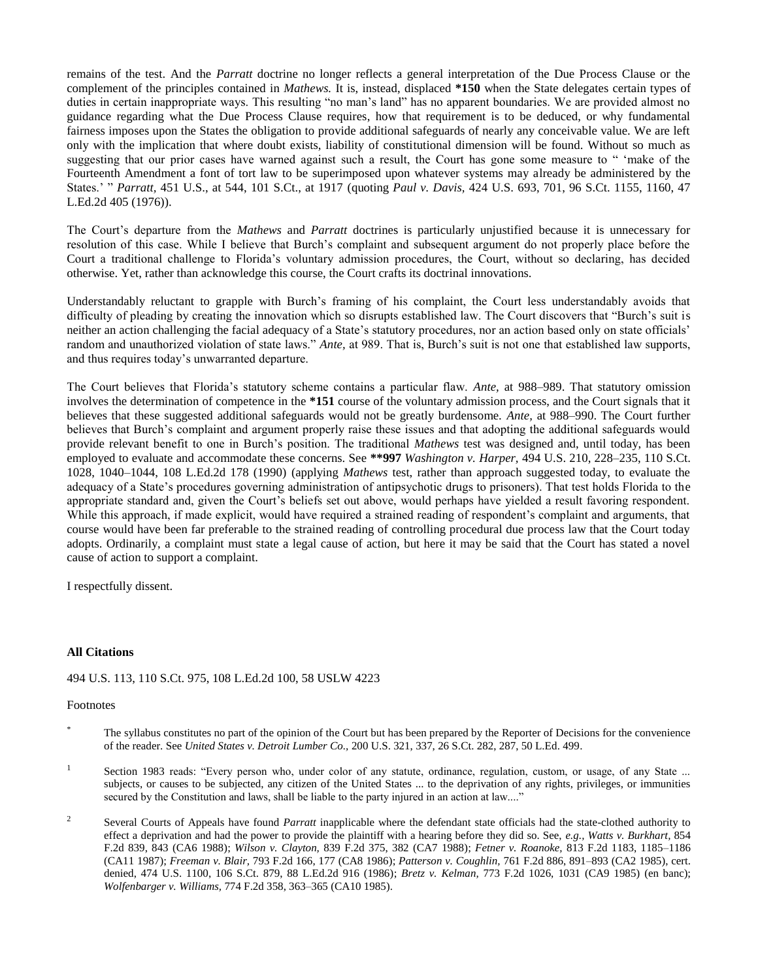remains of the test. And the *Parratt* doctrine no longer reflects a general interpretation of the Due Process Clause or the complement of the principles contained in *Mathews.* It is, instead, displaced **\*150** when the State delegates certain types of duties in certain inappropriate ways. This resulting "no man's land" has no apparent boundaries. We are provided almost no guidance regarding what the Due Process Clause requires, how that requirement is to be deduced, or why fundamental fairness imposes upon the States the obligation to provide additional safeguards of nearly any conceivable value. We are left only with the implication that where doubt exists, liability of constitutional dimension will be found. Without so much as suggesting that our prior cases have warned against such a result, the Court has gone some measure to " 'make of the Fourteenth Amendment a font of tort law to be superimposed upon whatever systems may already be administered by the States.' " *Parratt,* 451 U.S., at 544, 101 S.Ct., at 1917 (quoting *Paul v. Davis,* 424 U.S. 693, 701, 96 S.Ct. 1155, 1160, 47 L.Ed.2d 405 (1976)).

The Court's departure from the *Mathews* and *Parratt* doctrines is particularly unjustified because it is unnecessary for resolution of this case. While I believe that Burch's complaint and subsequent argument do not properly place before the Court a traditional challenge to Florida's voluntary admission procedures, the Court, without so declaring, has decided otherwise. Yet, rather than acknowledge this course, the Court crafts its doctrinal innovations.

Understandably reluctant to grapple with Burch's framing of his complaint, the Court less understandably avoids that difficulty of pleading by creating the innovation which so disrupts established law. The Court discovers that "Burch's suit is neither an action challenging the facial adequacy of a State's statutory procedures, nor an action based only on state officials' random and unauthorized violation of state laws." *Ante,* at 989. That is, Burch's suit is not one that established law supports, and thus requires today's unwarranted departure.

The Court believes that Florida's statutory scheme contains a particular flaw. *Ante,* at 988–989. That statutory omission involves the determination of competence in the **\*151** course of the voluntary admission process, and the Court signals that it believes that these suggested additional safeguards would not be greatly burdensome. *Ante,* at 988–990. The Court further believes that Burch's complaint and argument properly raise these issues and that adopting the additional safeguards would provide relevant benefit to one in Burch's position. The traditional *Mathews* test was designed and, until today, has been employed to evaluate and accommodate these concerns. See **\*\*997** *Washington v. Harper,* 494 U.S. 210, 228–235, 110 S.Ct. 1028, 1040–1044, 108 L.Ed.2d 178 (1990) (applying *Mathews* test, rather than approach suggested today, to evaluate the adequacy of a State's procedures governing administration of antipsychotic drugs to prisoners). That test holds Florida to the appropriate standard and, given the Court's beliefs set out above, would perhaps have yielded a result favoring respondent. While this approach, if made explicit, would have required a strained reading of respondent's complaint and arguments, that course would have been far preferable to the strained reading of controlling procedural due process law that the Court today adopts. Ordinarily, a complaint must state a legal cause of action, but here it may be said that the Court has stated a novel cause of action to support a complaint.

I respectfully dissent.

# **All Citations**

# 494 U.S. 113, 110 S.Ct. 975, 108 L.Ed.2d 100, 58 USLW 4223

# Footnotes

- The syllabus constitutes no part of the opinion of the Court but has been prepared by the Reporter of Decisions for the convenience of the reader. See *United States v. Detroit Lumber Co.,* 200 U.S. 321, 337, 26 S.Ct. 282, 287, 50 L.Ed. 499.
- <sup>1</sup> Section 1983 reads: "Every person who, under color of any statute, ordinance, regulation, custom, or usage, of any State ... subjects, or causes to be subjected, any citizen of the United States ... to the deprivation of any rights, privileges, or immunities secured by the Constitution and laws, shall be liable to the party injured in an action at law...."
- <sup>2</sup> Several Courts of Appeals have found *Parratt* inapplicable where the defendant state officials had the state-clothed authority to effect a deprivation and had the power to provide the plaintiff with a hearing before they did so. See, *e.g., Watts v. Burkhart,* 854 F.2d 839, 843 (CA6 1988); *Wilson v. Clayton,* 839 F.2d 375, 382 (CA7 1988); *Fetner v. Roanoke,* 813 F.2d 1183, 1185–1186 (CA11 1987); *Freeman v. Blair,* 793 F.2d 166, 177 (CA8 1986); *Patterson v. Coughlin,* 761 F.2d 886, 891–893 (CA2 1985), cert. denied, 474 U.S. 1100, 106 S.Ct. 879, 88 L.Ed.2d 916 (1986); *Bretz v. Kelman,* 773 F.2d 1026, 1031 (CA9 1985) (en banc); *Wolfenbarger v. Williams,* 774 F.2d 358, 363–365 (CA10 1985).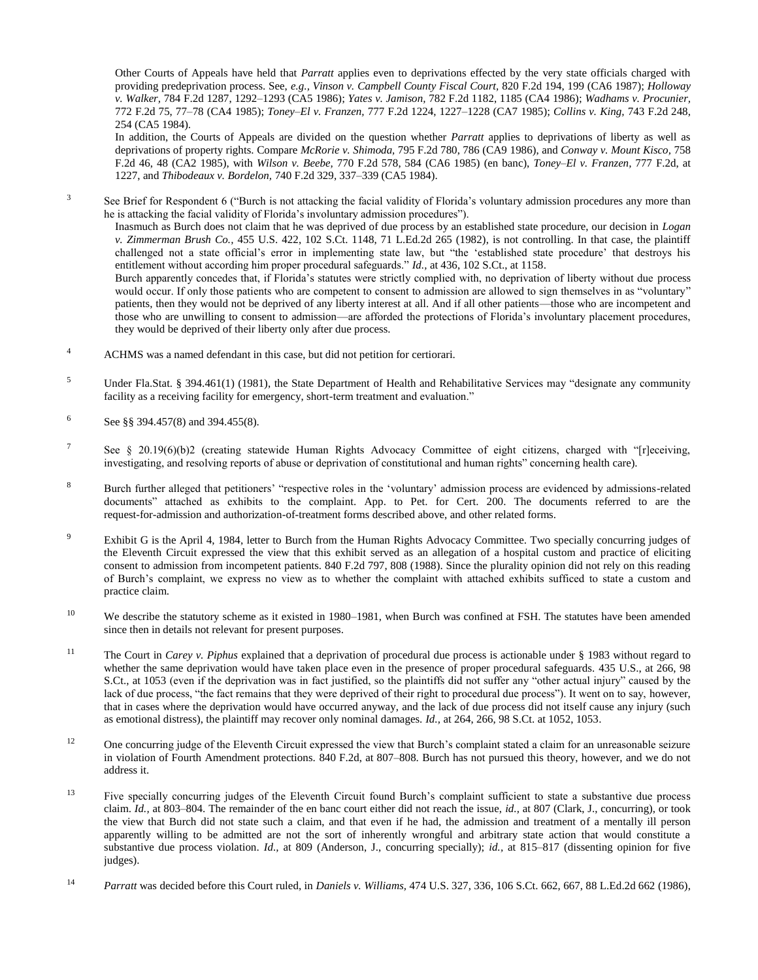Other Courts of Appeals have held that *Parratt* applies even to deprivations effected by the very state officials charged with providing predeprivation process. See, *e.g., Vinson v. Campbell County Fiscal Court,* 820 F.2d 194, 199 (CA6 1987); *Holloway v. Walker,* 784 F.2d 1287, 1292–1293 (CA5 1986); *Yates v. Jamison,* 782 F.2d 1182, 1185 (CA4 1986); *Wadhams v. Procunier,* 772 F.2d 75, 77–78 (CA4 1985); *Toney–El v. Franzen,* 777 F.2d 1224, 1227–1228 (CA7 1985); *Collins v. King,* 743 F.2d 248, 254 (CA5 1984).

In addition, the Courts of Appeals are divided on the question whether *Parratt* applies to deprivations of liberty as well as deprivations of property rights. Compare *McRorie v. Shimoda,* 795 F.2d 780, 786 (CA9 1986), and *Conway v. Mount Kisco,* 758 F.2d 46, 48 (CA2 1985), with *Wilson v. Beebe,* 770 F.2d 578, 584 (CA6 1985) (en banc), *Toney–El v. Franzen,* 777 F.2d, at 1227, and *Thibodeaux v. Bordelon,* 740 F.2d 329, 337–339 (CA5 1984).

<sup>3</sup> See Brief for Respondent 6 ("Burch is not attacking the facial validity of Florida's voluntary admission procedures any more than he is attacking the facial validity of Florida's involuntary admission procedures").

Inasmuch as Burch does not claim that he was deprived of due process by an established state procedure, our decision in *Logan v. Zimmerman Brush Co.,* 455 U.S. 422, 102 S.Ct. 1148, 71 L.Ed.2d 265 (1982), is not controlling. In that case, the plaintiff challenged not a state official's error in implementing state law, but "the 'established state procedure' that destroys his entitlement without according him proper procedural safeguards." *Id.,* at 436, 102 S.Ct., at 1158.

Burch apparently concedes that, if Florida's statutes were strictly complied with, no deprivation of liberty without due process would occur. If only those patients who are competent to consent to admission are allowed to sign themselves in as "voluntary" patients, then they would not be deprived of any liberty interest at all. And if all other patients—those who are incompetent and those who are unwilling to consent to admission—are afforded the protections of Florida's involuntary placement procedures, they would be deprived of their liberty only after due process.

- <sup>4</sup> ACHMS was a named defendant in this case, but did not petition for certiorari.
- <sup>5</sup> Under Fla.Stat. § 394.461(1) (1981), the State Department of Health and Rehabilitative Services may "designate any community facility as a receiving facility for emergency, short-term treatment and evaluation."
- $6$  See §§ 394.457(8) and 394.455(8).
- <sup>7</sup> See § 20.19(6)(b)2 (creating statewide Human Rights Advocacy Committee of eight citizens, charged with "[r]eceiving, investigating, and resolving reports of abuse or deprivation of constitutional and human rights" concerning health care).
- <sup>8</sup> Burch further alleged that petitioners' "respective roles in the 'voluntary' admission process are evidenced by admissions-related documents" attached as exhibits to the complaint. App. to Pet. for Cert. 200. The documents referred to are the request-for-admission and authorization-of-treatment forms described above, and other related forms.
- <sup>9</sup> Exhibit G is the April 4, 1984, letter to Burch from the Human Rights Advocacy Committee. Two specially concurring judges of the Eleventh Circuit expressed the view that this exhibit served as an allegation of a hospital custom and practice of eliciting consent to admission from incompetent patients. 840 F.2d 797, 808 (1988). Since the plurality opinion did not rely on this reading of Burch's complaint, we express no view as to whether the complaint with attached exhibits sufficed to state a custom and practice claim.
- <sup>10</sup> We describe the statutory scheme as it existed in 1980–1981, when Burch was confined at FSH. The statutes have been amended since then in details not relevant for present purposes.
- <sup>11</sup> The Court in *Carey v. Piphus* explained that a deprivation of procedural due process is actionable under § 1983 without regard to whether the same deprivation would have taken place even in the presence of proper procedural safeguards. 435 U.S., at 266, 98 S.Ct., at 1053 (even if the deprivation was in fact justified, so the plaintiffs did not suffer any "other actual injury" caused by the lack of due process, "the fact remains that they were deprived of their right to procedural due process"). It went on to say, however, that in cases where the deprivation would have occurred anyway, and the lack of due process did not itself cause any injury (such as emotional distress), the plaintiff may recover only nominal damages. *Id.,* at 264, 266, 98 S.Ct. at 1052, 1053.
- <sup>12</sup> One concurring judge of the Eleventh Circuit expressed the view that Burch's complaint stated a claim for an unreasonable seizure in violation of Fourth Amendment protections. 840 F.2d, at 807–808. Burch has not pursued this theory, however, and we do not address it.
- <sup>13</sup> Five specially concurring judges of the Eleventh Circuit found Burch's complaint sufficient to state a substantive due process claim. *Id.,* at 803–804. The remainder of the en banc court either did not reach the issue, *id.,* at 807 (Clark, J., concurring), or took the view that Burch did not state such a claim, and that even if he had, the admission and treatment of a mentally ill person apparently willing to be admitted are not the sort of inherently wrongful and arbitrary state action that would constitute a substantive due process violation. *Id.,* at 809 (Anderson, J., concurring specially); *id.,* at 815–817 (dissenting opinion for five judges).
- <sup>14</sup> *Parratt* was decided before this Court ruled, in *Daniels v. Williams,* 474 U.S. 327, 336, 106 S.Ct. 662, 667, 88 L.Ed.2d 662 (1986),